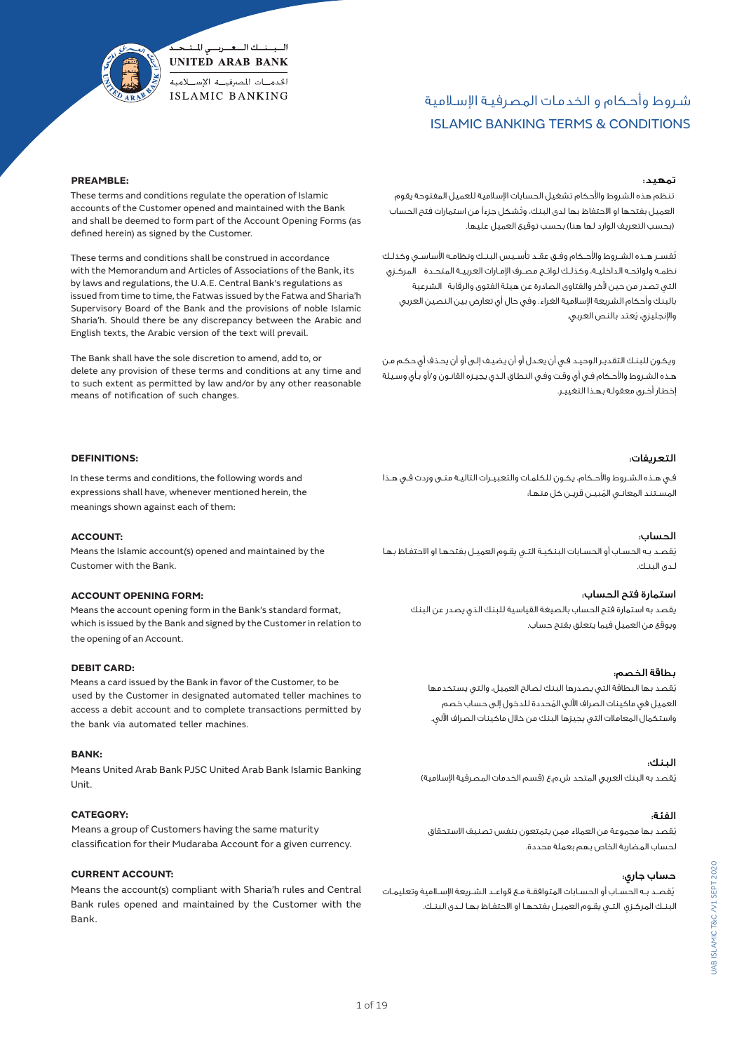# ISLAMIC BANKING TERMS & CONDITIONS شـروط وأحـكام و الخدمـات المصرفيـة اإلسـامية

#### **PREAMBLE:**

 These terms and conditions regulate the operation of Islamic accounts of the Customer opened and maintained with the Bank and shall be deemed to form part of the Account Opening Forms (as defined herein) as signed by the Customer.

السبسنسك السعسريسي المتبحكم **UNITED ARAB BANK** الخدميات المصرفيية الاستسلامية **ISLAMIC BANKING** 

 These terms and conditions shall be construed in accordance with the Memorandum and Articles of Associations of the Bank, its by laws and regulations, the U.A.E. Central Bank's regulations as issued from time to time, the Fatwas issued by the Fatwa and Sharia'h Supervisory Board of the Bank and the provisions of noble Islamic Sharia'h. Should there be any discrepancy between the Arabic and English texts, the Arabic version of the text will prevail.

 The Bank shall have the sole discretion to amend, add to, or delete any provision of these terms and conditions at any time and to such extent as permitted by law and/or by any other reasonable means of notification of such changes.

## تمهيد:

 تنظم هذه الشروط واألحكام تشغيل الحسابات اإلسالمية للعميل المفتوحة يقوم ُ العميل بفتحها او االحتفاظ بها لدى البنك، وتشكل جزءًا من استمارات فتح الحساب )بحسب التعريف الوارد لها هنا( بحسب توقيع العميل عليها.

ُ تفســر هــذه الشــروط واألحــكام وفــق عقــد تأســيس البنــك ونظامــه األساســي وكذلــك نظمـه ولوائحـه الداخليــة، وكذلـك لوائــح مصـرف الإمـارات العربيــة المتحــدة \_ المركــزي التي تصدر من حين آلخر والفتاوى الصادرة عن هيئة الفتوى والرقابة الشرعية بالبنك وأحكام الشريعة اإلسالمية الغراء. وفي حال أي تعارض بين النصين العربي ُ واإلنجليزي، يعتد بالنص العربي.

 ويكـون للبنـك التقديـر الوحيـد فـي أن يعـدل أو أن يضيـف إلـى أو أن يحـذف أي حكـم مـن هـذه الشـروط واألحـكام فـي أي وقـت وفـي النطـاق الـذي يجيـزه القانـون و/أو بـأي وسـيلة إخطـار أخـرى معقولـة بهـذا التغييـر.

#### التعريفات:

 فـي هـذه الشـروط واألحـكام، يكـون للكلمـات والتعبيـرات التاليـة متـى وردت فـي هـذا المسـتند المعانـى المُبيــن قريــن كل منهـا:

#### الحساب:

ُ يقصـد بـه الحسـاب أو الحسـابات البنكيـة التـي يقـوم العميـل بفتحهـا او االحتفـاظ بهـا لـدى البنـك.

 استمارة فتح الحساب: يقصد به استمارة فتح الحساب بالصيغة القياسية للبنك الذي يصدر عن البنك ويوقع من العميل فيما يتعلق بفتح حساب.

#### بطاقة الخصم:

ُ يقصد بها البطاقة التي يصدرها البنك لصالح العميل، والتي يستخدمها ُ العميل في ماكينات الصراف اآللي المحددة للدخول إلى حساب خصم واستكمال المعامالت التي يجيزها البنك من خالل ماكينات الصراف اآللي.

#### البنك:

يُقصد به البنك العربي المتحد ش.م.ع (قسم الخدمات المصرفية الإسلامية)

## الفئة:

ُ يقصد بها مجموعة من العمالء ممن يتمتعون بنفس تصنيف االستحقاق لحساب المضاربة الخاص بهم بعملة محددة.

# حساب جاري:

ُ يقصــد بــه الحســاب أو الحســابات المتوافقــة مــع قواعــد الشــريعة اإلســامية وتعليمــات البنــك المركــزي التــي يقــوم العميــل بفتحهــا او االحتفــاظ بهــا لــدى البنــك.

## **DEFINITIONS:**

 In these terms and conditions, the following words and expressions shall have, whenever mentioned herein, the meanings shown against each of them:

#### **ACCOUNT:**

 Means the Islamic account(s) opened and maintained by the Customer with the Bank.

#### **ACCOUNT OPENING FORM:**

 Means the account opening form in the Bank's standard format, which is issued by the Bank and signed by the Customer in relation to the opening of an Account.

#### **DEBIT CARD:**

 Means a card issued by the Bank in favor of the Customer, to be used by the Customer in designated automated teller machines to access a debit account and to complete transactions permitted by the bank via automated teller machines.

#### **BANK:**

 Means United Arab Bank PJSC United Arab Bank Islamic Banking Unit.

## **CATEGORY:**

 Means a group of Customers having the same maturity classification for their Mudaraba Account for a given currency.

## **CURRENT ACCOUNT:**

 Means the account(s) compliant with Sharia'h rules and Central Bank rules opened and maintained by the Customer with the Bank.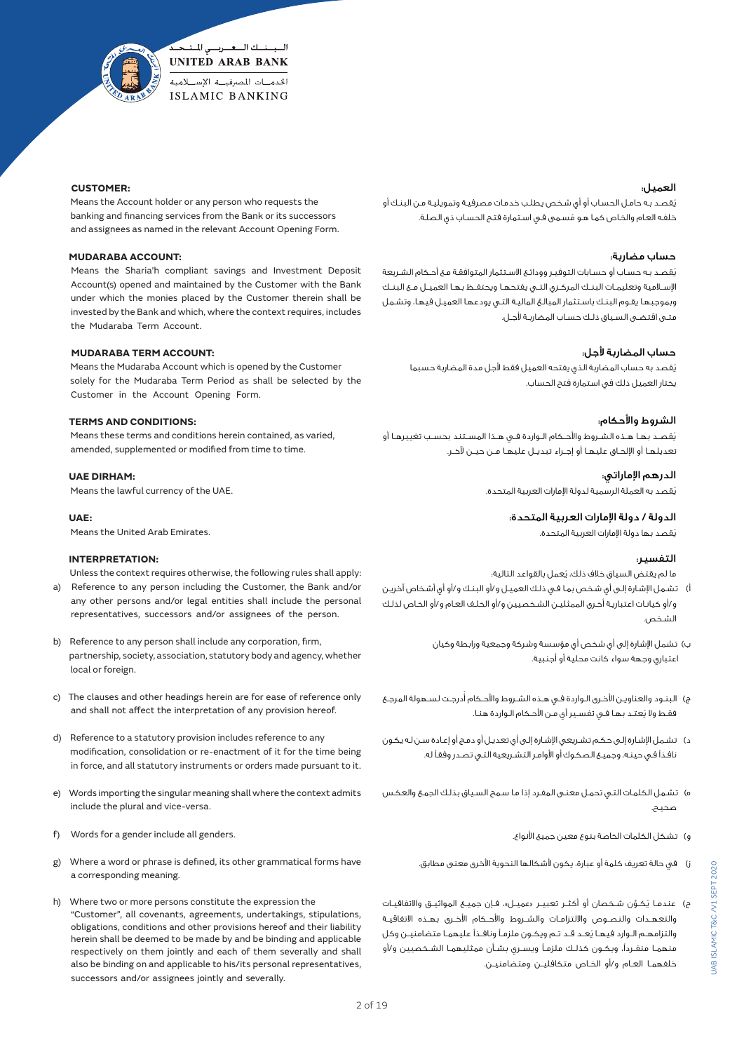

## **CUSTOMER:**

 Means the Account holder or any person who requests the banking and financing services from the Bank or its successors and assignees as named in the relevant Account Opening Form.

## **MUDARABA ACCOUNT:**

 Means the Sharia'h compliant savings and Investment Deposit Account(s) opened and maintained by the Customer with the Bank under which the monies placed by the Customer therein shall be invested by the Bank and which, where the context requires, includes the Mudaraba Term Account.

## **MUDARABA TERM ACCOUNT:**

 Means the Mudaraba Account which is opened by the Customer solely for the Mudaraba Term Period as shall be selected by the Customer in the Account Opening Form.

# **TERMS AND CONDITIONS:**

 Means these terms and conditions herein contained, as varied, amended, supplemented or modified from time to time.

#### **UAE DIRHAM:**

Means the lawful currency of the UAE.

 **UAE:** 

Means the United Arab Emirates.

#### **INTERPRETATION:**

 Unless the context requires otherwise, the following rules shall apply: a) Reference to any person including the Customer, the Bank and/or any other persons and/or legal entities shall include the personal

b) Reference to any person shall include any corporation, firm, partnership, society, association, statutory body and agency, whether local or foreign.

representatives, successors and/or assignees of the person.

- c) The clauses and other headings herein are for ease of reference only and shall not affect the interpretation of any provision hereof.
- d) Reference to a statutory provision includes reference to any modification, consolidation or re-enactment of it for the time being in force, and all statutory instruments or orders made pursuant to it.
- e) Words importing the singular meaning shall where the context admits include the plural and vice-versa.
- f) Words for a gender include all genders.
- g) Where a word or phrase is defined, its other grammatical forms have a corresponding meaning.
- h) Where two or more persons constitute the expression the "Customer", all covenants, agreements, undertakings, stipulations, obligations, conditions and other provisions hereof and their liability herein shall be deemed to be made by and be binding and applicable respectively on them jointly and each of them severally and shall also be binding on and applicable to his/its personal representatives, successors and/or assignees jointly and severally.

#### العميل:

ُ يقصـد بـه حامـل الحسـاب أو أي شـخص يطلـب خدمـات مصرفيـة وتمويليـة مـن البنـك أو ُ خلفـه العـام والخـاص كمـا هـو مسـمى فـي اسـتمارة فتـح الحسـاب ذي الصلـة.

#### حساب مضاربة:

ُ يقصـد بـه حسـاب أو حسـابات التوفيـر وودائـع االسـتثمار المتوافقـة مـع أحـكام الشـريعة اإلســامية وتعليمــات البنــك المركــزي التــي يفتحهــا ويحتفــظ بهــا العميــل مــع البنــك وبموجبهـا يقـوم البنـك باسـتثمار المبالـغ الماليـة التـي يودعهـا العميـل فيهـا، وتشـمل متـى اقتضـى السـياق ذلـك حسـاب المضاربـة ألجـل.

# حساب المضاربة لأجل:

ُ يقصد به حساب المضاربة الذي يفتحه العميل فقط ألجل مدة المضاربة حسبما يختار العميل ذلك في استمارة فتح الحساب.

## الشروط واألحكام:

ُ يقصــد بهــا هــذه الشــروط واألحــكام الــواردة فــي هــذا المســتند بحســب تغييرهــا أو تعديلهــا أو اإللحــاق عليهــا أو إجــراء تبديــل عليهــا مــن حيــن آلخــر.

الدرهم اإلماراتي:

ُ يقصد به العملة الرسمية لدولة اإلمارات العربية المتحدة.

الدولة / دولة اإلمارات العربية المتحدة:

ُ يقصد بها دولة اإلمارات العربية المتحدة.

#### التفسير:

ما لم يقتض السياق خلاف ذلك، يُعمل بالقواعد التالية؛

- أ) تشـمل الإشـارة إلـى أي شخص بمـا فـى ذلـك العميـل و/أو البنـك و/أو أي أشـخاص آخريـن و/أو كيانـات اعتباريـة أخـرى الممثليـن الشـخصيين و/أو الخلـف العـام و/أو الخـاص لذلـك الشـخص.
	- ب) تشمل الإشارة إلى أي شخص أي مؤسسة وشركة وجمعية ورابطة وكيان اعتباري وجهة سواء كانت محلية أو أجنبية.
- ج) البنـود والعناويـن الأخـرى الـواردة فـي هـذه الشـروط والأحـكام أُدرجـت لسـهولة المرجـع ُ فقـط وال يعتـد بهـا فـي تفسـير أي مـن األحـكام الـواردة هنـا.
- د( تشـمل اإلشـارة إلـى حكـم تشـريعي اإلشـارة إلـى أي تعديـل أو دمـج أو إعـادة سـن لـه يكـون نافـذًا فـي حينـه، وجميـع الصكـوك أو األوامـر التشـريعية التـي تصـدر وفقـً له.
- ه) تشمل الكلمات التـى تحمـل معنـى المفـرد إذا مـا سـمح السـياق بذلـك الجمـع والعكـس صحيـح.
	- و( تشكل الكلمات الخاصة بنوع معين جميع األنواع.
	- ز( في حالة تعريف كلمة أو عبارة، يكون ألشكالها النحوية األخرى معنى مطابق.
- ح) عندمـا يُـكـوْن شـخصان أو أكثــر تعبيــر «عميــل»، فـإن جميــع المواثيــق والاتفاقيــات والتعهــدات والنصــوص وااللتزامــات والشــروط واألحــكام األخــرى بهــذه االتفاقيــة ُ والتزامهــم الــوارد فيهــا يعــد قــد تــم ويكــون ملزمــً ونافــذًا عليهمــا متضامنيــن وكل منهمــا منفــردًا، ويكــون كذلــك ملزمــً ويســري بشــأن ممثليهمــا الشــخصيين و/أو خلفهمــا العــام و/أو الخــاص متكافليــن ومتضامنيــن.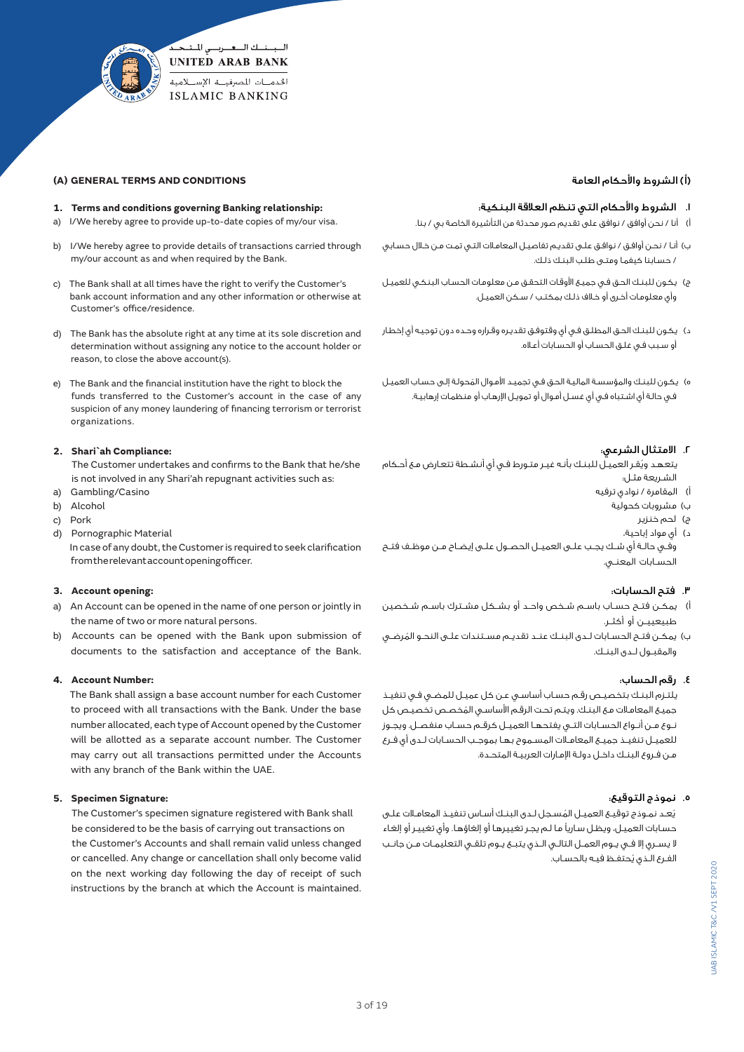

# **(A) GENERAL TERMS AND CONDITIONS**

#### **1. Terms and conditions governing Banking relationship:**

- a) I/We hereby agree to provide up-to-date copies of my/our visa.
- b) I/We hereby agree to provide details of transactions carried through my/our account as and when required by the Bank.
- c) The Bank shall at all times have the right to verify the Customer's bank account information and any other information or otherwise at Customer's office/residence.
- d) The Bank has the absolute right at any time at its sole discretion and determination without assigning any notice to the account holder or reason, to close the above account(s).
- e) The Bank and the financial institution have the right to block the funds transferred to the Customer's account in the case of any suspicion of any money laundering of financing terrorism or terrorist organizations.

## **2. Shari`ah Compliance:**

 The Customer undertakes and confirms to the Bank that he/she is not involved in any Shari'ah repugnant activities such as:

- a) Gambling/Casino
- b) Alcohol
- c) Pork
- d) Pornographic Material

 In case of any doubt, the Customer is required to seek clarification from the relevant account opening officer.

#### **3. Account opening:**

- a) An Account can be opened in the name of one person or jointly in the name of two or more natural persons.
- b) Accounts can be opened with the Bank upon submission of documents to the satisfaction and acceptance of the Bank.

#### **4. Account Number:**

 The Bank shall assign a base account number for each Customer to proceed with all transactions with the Bank. Under the base number allocated, each type of Account opened by the Customer will be allotted as a separate account number. The Customer may carry out all transactions permitted under the Accounts with any branch of the Bank within the UAE.

#### **5. Specimen Signature:**

 The Customer's specimen signature registered with Bank shall be considered to be the basis of carrying out transactions on the Customer's Accounts and shall remain valid unless changed or cancelled. Any change or cancellation shall only become valid on the next working day following the day of receipt of such instructions by the branch at which the Account is maintained.

# )أ( الشروط واألحكام العامة

## .1 الشروط واألحكام التي تنظم العالقة البنكية:

أ) أنا / نحن أوافق / نوافق على تقديم صور محدثة من التأشيرة الخاصة بي / بنا.

- ب) أنـا / نحـن أوافـق / نوافـق علـى تقديـم تفاصيـل المعامـلات التـى تمـت مـن خـلال حسـابي / حسـابنا كيفمـا ومتـى طلـب البنـك ذلـك.
- ج) يكـون للبنـك الحـق فـي جميـع الأوقـات التحقـق مـن معلومـات الحسـاب البنكـي للعميـل وأي معلومـات أخـرى أو خـاف ذلـك بمكتـب / سـكن العميـل.
- د( يكـون للبنـك الحـق المطلـق فـي أي وقتوفـق تقديـره وقـراره وحـده دون توجيـه أي إخطـار أو سـبب فـي غلـق الحسـاب أو الحسـابات أعـاه.
- ُ ه( يكـون للبنـك والمؤسسـة الماليـة الحـق فـي تجميـد األمـوال المحولـة إلـى حسـاب العميـل فـي حالـة أي اشـتباه فـي أي غسـل أمـوال أو تمويـل اإلرهـاب أو منظمـات إرهابيـة.

# .2 االمتثال الشرعي:

- ُ يتعهـد ويقـر العميـل للبنـك بأنـه غيـر متـورط فـي أي أنشـطة تتعـارض مـع أحـكام الشـريعة مثـل:
	- أ) المقامرة / نوادى ترفيه
		- ب( مشروبات كحولية
			- ج) لحم خنزير د) أي مواد إباحية،
- وفــي حالــة أي شــك يجــب علــى العميــل الحصــول علــى إيضــاح مــن موظــف فتــح .<br>الحســابات المعنــي.

#### .٣ فتح الحسابات:

- أ) يمكــن فتــح حســاب باســم شـخص واحــد أو بـشـكل مشــترك باســم شـخصين طبيعييــن أو أكثــر.
- ب) يمكـن فتــح الحســابات لــدى البنــك عنــد تقديــم مســتندات علــى النحــو المُرضــى والمقبــول لــدى البنــك.

# .٤ رقم الحساب:

 يلتـزم البنـك بتخصيـص رقـم حسـاب أساسـي عـن كل عميـل للمضـي فـي تنفيـذ ُ جميـع المعامـات مـع البنـك. ويتـم تحـت الرقـم األساسـي المخصـص تخصيـص كل نــوع مــن أنــواع الحســابات التــي يفتحهــا العميــل كرقــم حســاب منفصــل. ويجــوز للعميــل تنفيــذ جميــع المعامــات المســموح بهــا بموجــب الحســابات لــدى أي فــرع مـن فـروع البنـك داخـل دولـة اإلمـارات العربيـة المتحـدة.

# .٥ نموذج التوقيع:

يُعـد نمـوذج توقيـع العميـل المُسـجل لـدى البنـك أسـاس تنفيـذ المعامـاات علـى حسـابات العميـل، ويظـل سـاريًا مـا لـم يجـر تغييرهـا أو إلغاؤهـا. وأي تغييـر أو إلغـاء ال يســري إال فــي يــوم العمــل التالــي الــذي يتبــع يــوم تلقــي التعليمــات مــن جانــب ُ الفـرع الـذي يحتفـظ فيـه بالحسـاب.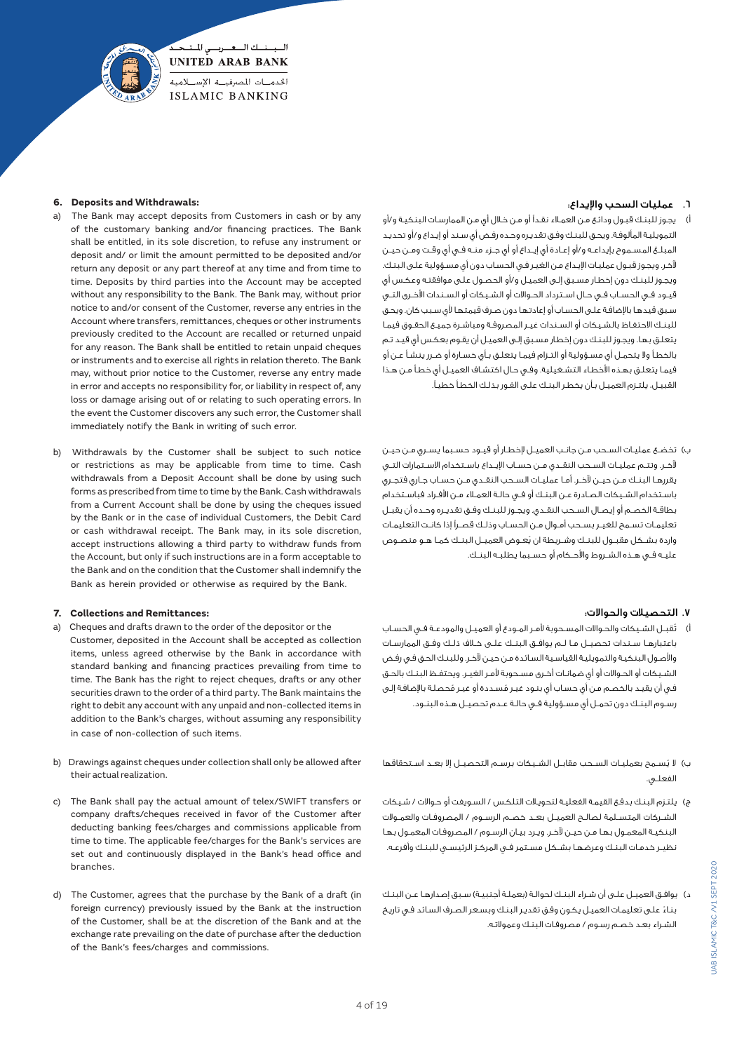

#### **6. Deposits and Withdrawals:**

- a) The Bank may accept deposits from Customers in cash or by any of the customary banking and/or financing practices. The Bank shall be entitled, in its sole discretion, to refuse any instrument or deposit and/ or limit the amount permitted to be deposited and/or return any deposit or any part thereof at any time and from time to time. Deposits by third parties into the Account may be accepted without any responsibility to the Bank. The Bank may, without prior notice to and/or consent of the Customer, reverse any entries in the Account where transfers, remittances, cheques or other instruments previously credited to the Account are recalled or returned unpaid for any reason. The Bank shall be entitled to retain unpaid cheques or instruments and to exercise all rights in relation thereto. The Bank may, without prior notice to the Customer, reverse any entry made in error and accepts no responsibility for, or liability in respect of, any loss or damage arising out of or relating to such operating errors. In the event the Customer discovers any such error, the Customer shall immediately notify the Bank in writing of such error.
- b) Withdrawals by the Customer shall be subject to such notice or restrictions as may be applicable from time to time. Cash withdrawals from a Deposit Account shall be done by using such forms as prescribed from time to time by the Bank. Cash withdrawals from a Current Account shall be done by using the cheques issued by the Bank or in the case of individual Customers, the Debit Card or cash withdrawal receipt. The Bank may, in its sole discretion, accept instructions allowing a third party to withdraw funds from the Account, but only if such instructions are in a form acceptable to the Bank and on the condition that the Customer shall indemnify the Bank as herein provided or otherwise as required by the Bank.

#### **7. Collections and Remittances:**

- a) Cheques and drafts drawn to the order of the depositor or the Customer, deposited in the Account shall be accepted as collection items, unless agreed otherwise by the Bank in accordance with standard banking and financing practices prevailing from time to time. The Bank has the right to reject cheques, drafts or any other securities drawn to the order of a third party. The Bank maintains the right to debit any account with any unpaid and non-collected items in addition to the Bank's charges, without assuming any responsibility in case of non-collection of such items.
- b) Drawings against cheques under collection shall only be allowed after their actual realization.
- c) The Bank shall pay the actual amount of telex/SWIFT transfers or company drafts/cheques received in favor of the Customer after deducting banking fees/charges and commissions applicable from time to time. The applicable fee/charges for the Bank's services are set out and continuously displayed in the Bank's head office and branches.
- d) The Customer, agrees that the purchase by the Bank of a draft (in foreign currency) previously issued by the Bank at the instruction of the Customer, shall be at the discretion of the Bank and at the exchange rate prevailing on the date of purchase after the deduction of the Bank's fees/charges and commissions.

# .٦ عمليات السحب واإليداع:

- أ( يجـوز للبنـك قبـول ودائـع مـن العمـاء نقـدًا أو مـن خـال أي مـن الممارسـات البنكيـة و/أو التمويليـة المألوفـة. ويحـق للبنـك وفـق تقديـره وحـده رفـض أي سـند أو إيـداع و/أو تحديـد المبلــغ المســموح بإيداعــه و/أو إعــادة أي إيــداع أو أي جــزء منــه فــي أي وقــت ومــن حيــن آلخـر. ويجـوز قبـول عمليـات اإليـداع مـن الغيـر فـي الحسـاب دون أي مسـؤولية علـى البنـك. ويجـوز للبنـك دون إخطـار مسـبق إلـى العميـل و/أو الحصـول علـى موافقتـه وعكـس أي قيــود فــي الحســاب فــي حــال اســترداد الحــواالت أو الشــيكات أو الســندات األخــرى التــي سـبق قيدهـا باإلضافـة علـى الحسـاب أو إعادتهـا دون صـرف قيمتهـا ألي سـبب كان. ويحـق للبنـك االحتفـاظ بالشـيكات أو السـندات غيـر المصروفـة ومباشـرة جميـع الحقـوق فيمـا يتعلـق بهـا. ويجـوز للبنـك دون إخطـار مسـبق إلـى العميـل أن يقـوم بعكـس أي قيـد تـم بالخطـأ وال يتحمـل أي مسـؤولية أو التـزام فيمـا يتعلـق بـأي خسـارة أو ضـرر ينشـأ عـن أو فيمـا يتعلـق بهـذه األخطـاء التشـغيلية. وفـي حـال اكتشـاف العميـل أي خطـأ مـن هـذا القبيـل، يلتـزم العميـل بـأن يخطـر البنـك علـى الفـور بذلـك الخطـأ خطيـ.ً
- ب( تخضــع عمليــات الســحب مــن جانــب العميــل إلخطــار أو قيــود حســبما يســري مــن حيــن آلخــر. وتتــم عمليــات الســحب النقــدي مــن حســاب اإليــداع باســتخدام االســتمارات التــي يقررهــا البنــك مــن حيــن آلخــر. أمــا عمليــات الســحب النقــدي مــن حســاب جــاري فتجــري باســتخدام الشــيكات الصــادرة عــن البنــك أو فــي حالــة العمــاء مــن األفــراد فباســتخدام بطاقــة الخصــم أو إيصــال الســحب النقــدي. ويجــوز للبنــك وفــق تقديــره وحــده أن يقبــل تعليمــات تســمح للغيــر بســحب أمــوال مــن الحســاب وذلــك قصــرًا إذا كانــت التعليمــات ُ واردة بشــكل مقبــول للبنــك وشــريطة ان يعــوض العميــل البنــك كمــا هــو منصــوص عليــه فــي هــذه الشــروط واألحــكام أو حســبما يطلبــه البنــك.

#### .٧ التحصيالت والحواالت:

- أ) تُقبــل الشـيكات والحــوالات المسـحوبة لأمـر المـودع أو العميــل والمودعـة فــى الحسـاب باعتبارهــا ســندات تحصيــل مــا لــم يوافــق البنــك علــى خــاف ذلــك وفــق الممارســات واألصـول البنكيـة والتمويليـة القياسـية السـائدة مـن حيـن آلخـر. وللبنـك الحـق فـي رفـض الشــيكات أو الحــواالت أو أي ضمانــات أخــرى مســحوبة ألمــر الغيــر. ويحتفــظ البنــك بالحــق فـي أن يقيـد بالخصـم مـن أي حساب أي بنـود غيـر مُسـددة أو غيـر مُحصلـة بالإضافـة إلـي رســوم البنــك دون تحمــل أي مســؤولية فــي حالــة عــدم تحصيــل هــذه البنــود.
- ب) لا يُســمح بعمليــات الســحب مقابــل الشــيكات برســم التحصيــل إلا بعــد اســتحقاقها الفعلــي.
- ج( يلتـزم البنـك بدفـع القيمـة الفعليـة لتحويـات التلكـس / السـويفت أو حـواالت / شـيكات الشــركات المتســلمة لصالــح العميــل بعــد خصــم الرســوم / المصروفــات والعمــوالت البنكيـة المعمـول بهـا مـن حيـن آلخـر. ويـرد بيـان الرسـوم / المصروفـات المعمـول بهـا نظيــر خدمــات البنــك وعرضهــا بشــكل مســتمر فــي المركــز الرئيســي للبنــك وأفرعــه.
- د) يوافـق العميـل علـى أن شـراء البنـك لحوالـة (بعملـة أجنبيـة) سـبق إصدارهـا عـن البنـك ً بنـاء علـى تعليمـات العميـل يكـون وفـق تقديـر البنـك وبسـعر الصـرف السـائد فـي تاريـخ الشـراء بعـد خصـم رسـوم / مصروفـات البنـك وعموالتـه.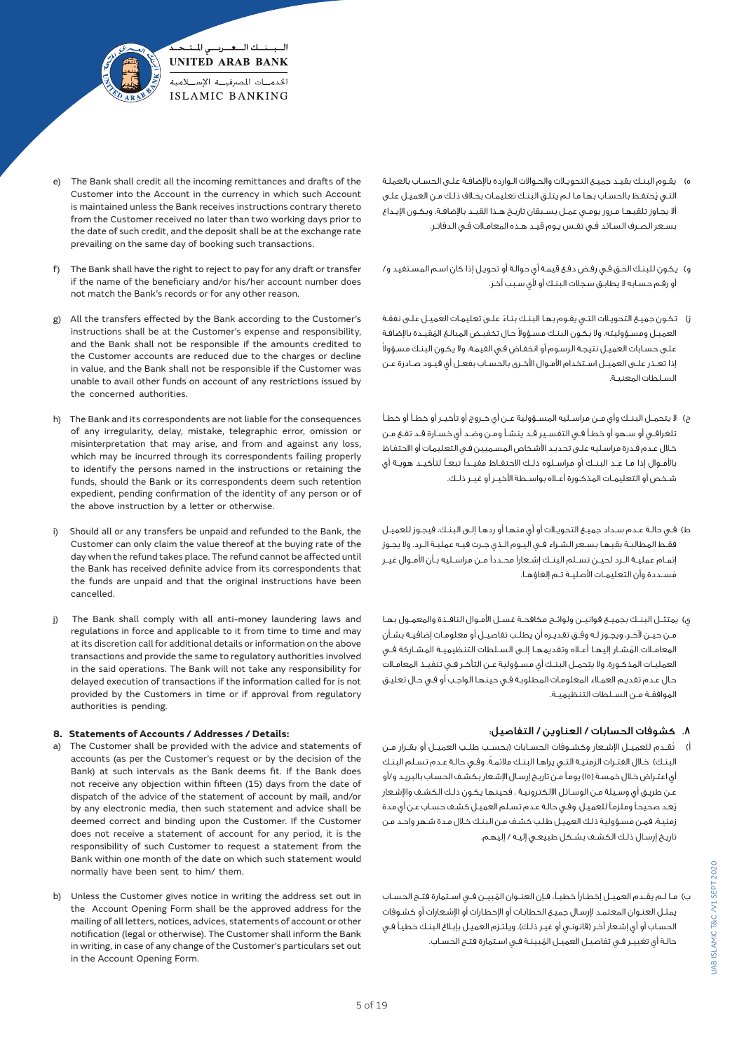

- The Bank shall credit all the incoming remittances and drafts of the Customer into the Account in the currency in which such Account is maintained unless the Bank receives instructions contrary thereto from the Customer received no later than two working days prior to the date of such credit, and the deposit shall be at the exchange rate prevailing on the same day of booking such transactions.
- f) The Bank shall have the right to reject to pay for any draft or transfer if the name of the beneficiary and/or his/her account number does not match the Bank's records or for any other reason.
- All the transfers effected by the Bank according to the Customer's instructions shall be at the Customer's expense and responsibility, and the Bank shall not be responsible if the amounts credited to the Customer accounts are reduced due to the charges or decline in value, and the Bank shall not be responsible if the Customer was unable to avail other funds on account of any restrictions issued by the concerned authorities.
- h) The Bank and its correspondents are not liable for the consequences of any irregularity, delay, mistake, telegraphic error, omission or misinterpretation that may arise, and from and against any loss, which may be incurred through its correspondents failing properly to identify the persons named in the instructions or retaining the funds, should the Bank or its correspondents deem such retention expedient, pending confirmation of the identity of any person or of the above instruction by a letter or otherwise.
- Should all or any transfers be unpaid and refunded to the Bank, the Customer can only claim the value thereof at the buying rate of the day when the refund takes place. The refund cannot be affected until the Bank has received definite advice from its correspondents that the funds are unpaid and that the original instructions have been cancelled.
- j) The Bank shall comply with all anti-money laundering laws and regulations in force and applicable to it from time to time and may at its discretion call for additional details or information on the above transactions and provide the same to regulatory authorities involved in the said operations. The Bank will not take any responsibility for delayed execution of transactions if the information called for is not provided by the Customers in time or if approval from regulatory authorities is pending.

## **8. Statements of Accounts / Addresses / Details:**

- a) The Customer shall be provided with the advice and statements of accounts (as per the Customer's request or by the decision of the Bank) at such intervals as the Bank deems fit. If the Bank does not receive any objection within fifteen (15) days from the date of dispatch of the advice of the statement of account by mail, and/or by any electronic media, then such statement and advice shall be deemed correct and binding upon the Customer. If the Customer does not receive a statement of account for any period, it is the responsibility of such Customer to request a statement from the Bank within one month of the date on which such statement would normally have been sent to him/ them.
- b) Unless the Customer gives notice in writing the address set out in the Account Opening Form shall be the approved address for the mailing of all letters, notices, advices, statements of account or other notification (legal or otherwise). The Customer shall inform the Bank in writing, in case of any change of the Customer's particulars set out in the Account Opening Form.
- ه) يقـوم البنـك بقيـد جميـع التحويـلات والحـوالات الـواردة بالإضافـة علـى الحسـاب بالعملـة ُ التـي يحتفـظ بالحسـاب بهـا مـا لـم يتلـق البنـك تعليمـات بخـاف ذلـك مـن العميـل علـى أال يجــاوز تلقيهــا مــرور يومــي عمــل يســبقان تاريــخ هــذا القيــد باإلضافــة، ويكــون اإليــداع بسـعر الصـرف السـائد فـي تفـس يـوم قيـد هـذه المعامـات فـي الدفاتـر.
- و( يكـون للبنـك الحـق فـي رفـض دفـع قيمـة أي حوالـة أو تحويـل إذا كان اسـم المسـتفيد و/ أو رقـم حسـابه ال يطابـق سـجالت البنـك أو ألي سـبب آخـر.
- ً ز( تكـون جميـع التحويـات التـي يقـوم بهـا البنـك بنـاء علـى تعليمـات العميـل علـى نفقـة لعميـل ومسـؤوليته، ولا يكـون البنـك مسـؤولا حـال تخفيـض المبالـغ المُقيـدة بالإضافـة علـى حسـابات العميـل نتيجـة الرسـوم أو انخفـاض فـي القيمـة، وال يكـون البنـك مسـؤوال إذا تعــذر علــى العميــل اســتخدام األمــوال األخــرى بالحســاب بفعــل أي قيــود صــادرة عــن السـلطات المعنيـة.
- ح) لا يتحمــل البنــك وأي مــن مراســليه المســؤولية عــن أي خــروج أو تأخيــر أو خطــأ أو خطـأ تلغرافــي أو ســهو أو خطــأ فــي التفســير قــد ينشــأ ومــن وضــد أي خســارة قــد تقــع مــن خـال عـدم قـدرة مراسـليه علـى تحديـد األشـخاص المسـميين فـي التعليمـات أو االحتفـاظ باألمــوال إذا مــا عــد البنــك أو مراســلوه ذلــك االحتفــاظ مفيــدًا تبعــً لتأكيــد هويــة أي شــخص أو التعليمــات المذكــورة أعــاه بواســطة األخيــر أو غيــر ذلــك.
- ط) فـي حالـة عـدم سـداد جميـع التحويـلات أو أي منـهـا أو ردهـا إلـى البنـك، فيجـوز للعميـل فقــط المطالبــة بقيهــا بســعر الشــراء فــي اليــوم الــذي جــرت فيــه عمليــة الــرد. وال يجــوز إتمــام عمليــة الــرد لحيــن تســلم البنــك إشــعارًا محــددًا مــن مراســليه بــأن األمــوال غيــر مُســددة وأن التعليمـات الأصليــة تــم إلغاؤهـا.
- ي) يمتثــل البنــك بجميــع قوانيــن ولوائـح مكافحـة غســل الأمـوال النافـذة والمعمــول بهـا مــن حيــن آلخــر، ويجــوز لــه وفــق تقديــره أن يطلــب تفاصيــل أو معلومــات إضافيــة بشــأن ُ المعامــات المشــار إليهــا أعــاه وتقديمهــا إلــى الســلطات التنظيميــة المشــاركة فــي العمليــات المذكــورة. وال يتحمــل البنــك أي مســؤولية عــن التأخــر فــي تنفيــذ المعامــات حـال عـدم تقديـم العمـاء المعلومـات المطلوبـة فـي حينهـا الواجـب أو فـي حـال تعليـق الموافقــة مــن الســلطات التنظيميــة.

# .8 كشوفات الحسابات / العناوين / التفاصيل:

ُ أ( تقــدم للعميــل اإلشــعار وكشــوفات الحســابات )بحســب طلــب العميــل أو بقــرار مــن البنـك) خـلال الفتـرات الزمنيـة التـي يراهـا البنـك ملائمـةً. وفـي حالـة عـدم تسـلم البنـك أي اعتـراض خـال خمسـة )15( يومـً مـن تاريـخ إرسـال اإلشـعار بكشـف الحسـاب بالبريـد و/أو عـن طريـق أي وسـيلة مـن الوسـائل االلكترونيـة ، فحينهـا يكـون ذلـك الكشـف واإلشـعار ُيعـد صحيحـً وملزمـً للعميـل. وفـي حالـة عـدم تسـلم العميـل كشـف حسـاب عـن أي مدة زمنيـة، فمـن مسـؤولية ذلـك العميـل طلـب كشـف مـن البنـك خـال مـدة شـهر واحـد مـن تاريـخ إرسـال ذلـك الكشـف بشـكل طبيعـي إليـه / إليهـم.

ُ ب( مــا لــم يقــدم العميــل إخطــارًا خطيــ،ً فــإن العنــوان المبيــن فــي اســتمارة فتــح الحســاب يمثـل العنـوان المعتمـد إلرسـال جميـع الخطابـات أو اإلخطـارات أو اإلشـعارات أو كشـوفات الحساب أو أي إشـعار آخـر (قانونـي أو غيـر ذلـك). ويلتـزم العميـل بإبـلاغ البنـك خطيـاً فـي ُ حالـة أي تغييـر فـي تفاصيـل العميـل المبينـة فـي اسـتمارة فتـح الحسـاب.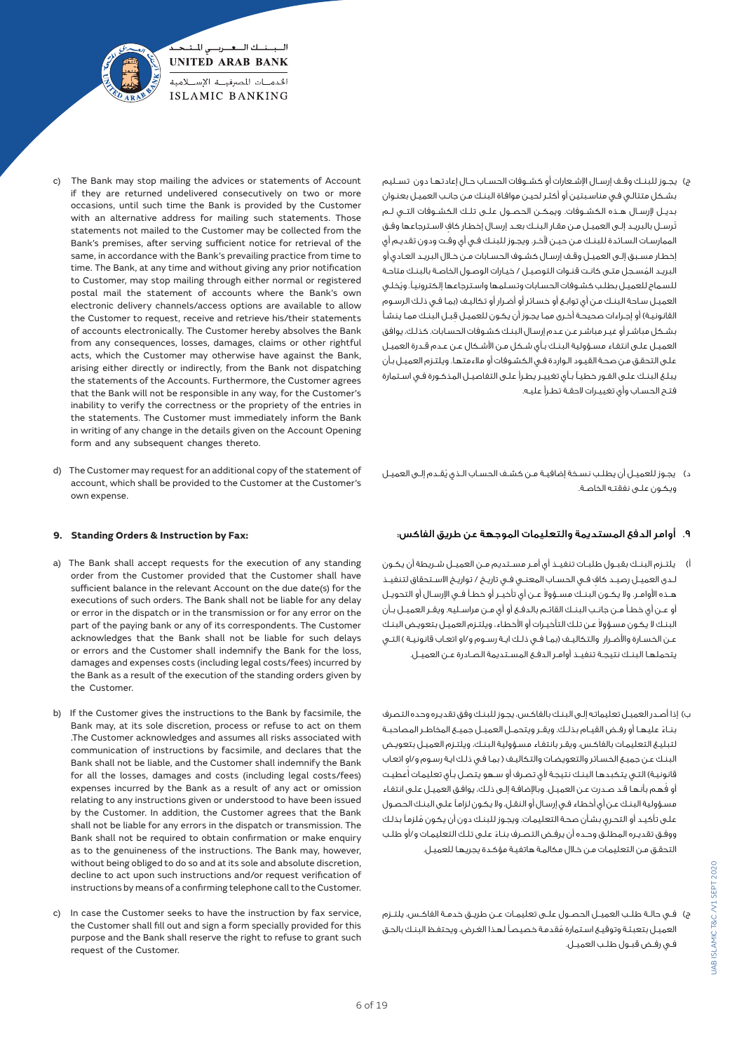

- ج) يجـوز للبنــك وقــف إرســال الإشــعارات أو كشــوفات الحسـاب حـال إعادتهـا دون تســليم بشـكل متتالـي فـي مناسـبتين أو أكثـر لحيـن موافـاة البنـك مـن جانـب العميـل بعنـوان بديــل إلرســال هــذه الكشــوفات. ويمكــن الحصــول علــى تلــك الكشــوفات التــي لــم .<br>تُرسـل بالبريـد إلـى العميـل مـن مقـار البنـك بعـد إرسـال إخطـار كاف لاسـترجاعها وفـق الممارسـات السـائدة للبنـك مـن حيـن آلخـر. ويجـوز للبنـك فـي أي وقـت ودون تقديـم أي إخطـار مسـبق إلـى العميـل وقـف إرسـال كشـوف الحسـابات مـن خـال البريـد العـادي أو ُ البريـد المسـجل متـى كانـت قنـوات التوصيـل / خيـارات الوصـول الخاصـة بالبنـك متاحـة ُ للسـماح للعميـل بطلـب كشـوفات الحسـابات وتسـلمها واسـترجاعها إلكترونيـ.ً ويخلـي العميـل سـاحة البنـك مـن أي توابـع أو خسـائر أو أضـرار أو تكاليـف )بمـا فـي ذلـك الرسـوم القانونيـة) أو إجـراءات صحيحـة أخـرى ممـا يجـوز أن يكـون للعميـل قبـل البنـك ممـا ينشـأ بشـكل مباشـر أو غيـر مباشـر عـن عـدم إرسـال البنـك كشـوفات الحسـابات. كذلـك، يوافق العميـل علـى انتفـاء مسـؤولية البنـك بـأي شـكل مـن األشـكال عـن عـدم قـدرة العميـل علـى التحقـق مـن صحـة القيـود الـواردة فـي الكشـوفات أو مالءمتهـا. ويلتـزم العميـل بـأن يبلـغ البنـك علـى الفـور خطيـً بـأي تغييـر يطـرأ علـى التفاصيـل المذكـورة فـي اسـتمارة فتـح الحسـاب وأي تغييـرات الحقـة تطـرأ عليـه.
- ُ د( يجـوز للعميـل أن يطلـب نسـخة إضافيـة مـن كشـف الحسـاب الـذي يقـدم إلـى العميـل ويكـون علـى نفقتـه الخاصـة.

# .9 أوامر الدفع المستديمة والتعليمات الموجهة عن طريق الفاكس:

- أ( يلتــزم البنــك بقبــول طلبــات تنفيــذ أي أمــر مســتديم مــن العميــل شــريطة أن يكــون ٍ لــدى العميــل رصيــد كاف فــي الحســاب المعنــي فــي تاريــخ / تواريــخ االســتحقاق لتنفيــذ هــذه الأوامـر. ولا يكــون البنــك مســؤولا عــن أي تأخيــر أو خطــأ فــي الإرســال أو التحويــل أو عــن أي خطــأ مــن جانــب البنــك القائــم بالدفــع أو أي مــن مراســليه. ويقــر العميــل بــأن لبنـك لا يكـون مسـؤولا عـن تلـك التأخيـرات أو الأخطاء، ويلتـزم العميـل بتعويـض البنـك عـن الخسـارة والأضـرار والتكاليــف (بمـا فــي ذلـك ايــة رســوم و/او اتعـاب قانونيــة ) التــي يتحملهــا البنــك نتيجــة تنفيــذ أوامــر الدفــع المســتديمة الصــادرة عــن العميــل.
- ب) إذا أصـدر العميـل تعليماتـه إلـى البنـك بالفاكـس، يجـوز للبنـك وفق تقديـره وحده التصرف ً بنــاء عليهــا أو رفــض القيــام بذلــك. ويقــر ويتحمــل العميــل جميــع المخاطــر المصاحبــة لتبليـغ التعليمـات بالفاكـس، ويقـر بانتفـاء مسـؤولية البنـك، ويلتـزم العميـل بتعويـض البنـك عـن جميـع الخسـائر والتعويضـات والتكاليـف ) بمـا فـي ذلـك ايـة رسـوم و/او اتعـاب قانونيـة) التـي يتكبدهـا البنـك نتيجة لأي تصـرف أو سـهو يتصـل بـأي تعليمـات أعطيـت ُ أو فهـم بأنهـا قـد صـدرت عـن العميـل. وباإلضافـة إلـى ذلـك، يوافـق العميـل علـى انتفـاء مسـؤولية البنـك عـن أي أخطـاء فـي إرسـال أو النقـل، وال يكـون لزامـً علـى البنـك الحصـول ُ علـى تأكيـد أو التحـري بشـأن صحـة التعليمـات. ويجـوز للبنـك دون أن يكـون ملزمـً بذلـك ً ووفـق تقديـره المطلـق وحـده أن يرفـض التصـرف بنـاء علـى تلـك التعليمـات و/أو طلـب التحقـق مـن التعليمـات مـن خـال مكالمـة هاتفيـة مؤكـدة يجريهـا للعميـل.
- ج) فـي حالــة طلــب العميــل الحصــول علــى تعليمــات عــن طريــق خدمــة الفاكـس، يلتــزم ُ العميـل بتعبئـة وتوقيـع اسـتمارة مقدمـة خصيصـً لهـذا الغـرض، ويحتفـظ البنـك بالحـق فــي رفــض قبــول طلــب العميــل.
- The Bank may stop mailing the advices or statements of Account if they are returned undelivered consecutively on two or more occasions, until such time the Bank is provided by the Customer with an alternative address for mailing such statements. Those statements not mailed to the Customer may be collected from the Bank's premises, after serving sufficient notice for retrieval of the same, in accordance with the Bank's prevailing practice from time to time. The Bank, at any time and without giving any prior notification to Customer, may stop mailing through either normal or registered postal mail the statement of accounts where the Bank's own electronic delivery channels/access options are available to allow the Customer to request, receive and retrieve his/their statements of accounts electronically. The Customer hereby absolves the Bank from any consequences, losses, damages, claims or other rightful acts, which the Customer may otherwise have against the Bank, arising either directly or indirectly, from the Bank not dispatching the statements of the Accounts. Furthermore, the Customer agrees that the Bank will not be responsible in any way, for the Customer's inability to verify the correctness or the propriety of the entries in the statements. The Customer must immediately inform the Bank in writing of any change in the details given on the Account Opening form and any subsequent changes thereto.
- d) The Customer may request for an additional copy of the statement of account, which shall be provided to the Customer at the Customer's own expense.

# **9. Standing Orders & Instruction by Fax:**

- a) The Bank shall accept requests for the execution of any standing order from the Customer provided that the Customer shall have sufficient balance in the relevant Account on the due date(s) for the executions of such orders. The Bank shall not be liable for any delay or error in the dispatch or in the transmission or for any error on the part of the paying bank or any of its correspondents. The Customer acknowledges that the Bank shall not be liable for such delays or errors and the Customer shall indemnify the Bank for the loss, damages and expenses costs (including legal costs/fees) incurred by the Bank as a result of the execution of the standing orders given by the Customer.
- b) If the Customer gives the instructions to the Bank by facsimile, the Bank may, at its sole discretion, process or refuse to act on them .The Customer acknowledges and assumes all risks associated with communication of instructions by facsimile, and declares that the Bank shall not be liable, and the Customer shall indemnify the Bank for all the losses, damages and costs (including legal costs/fees) expenses incurred by the Bank as a result of any act or omission relating to any instructions given or understood to have been issued by the Customer. In addition, the Customer agrees that the Bank shall not be liable for any errors in the dispatch or transmission. The Bank shall not be required to obtain confirmation or make enquiry as to the genuineness of the instructions. The Bank may, however, without being obliged to do so and at its sole and absolute discretion, decline to act upon such instructions and/or request verification of instructions by means of a confirming telephone call to the Customer.
- c) In case the Customer seeks to have the instruction by fax service, the Customer shall fill out and sign a form specially provided for this purpose and the Bank shall reserve the right to refuse to grant such request of the Customer.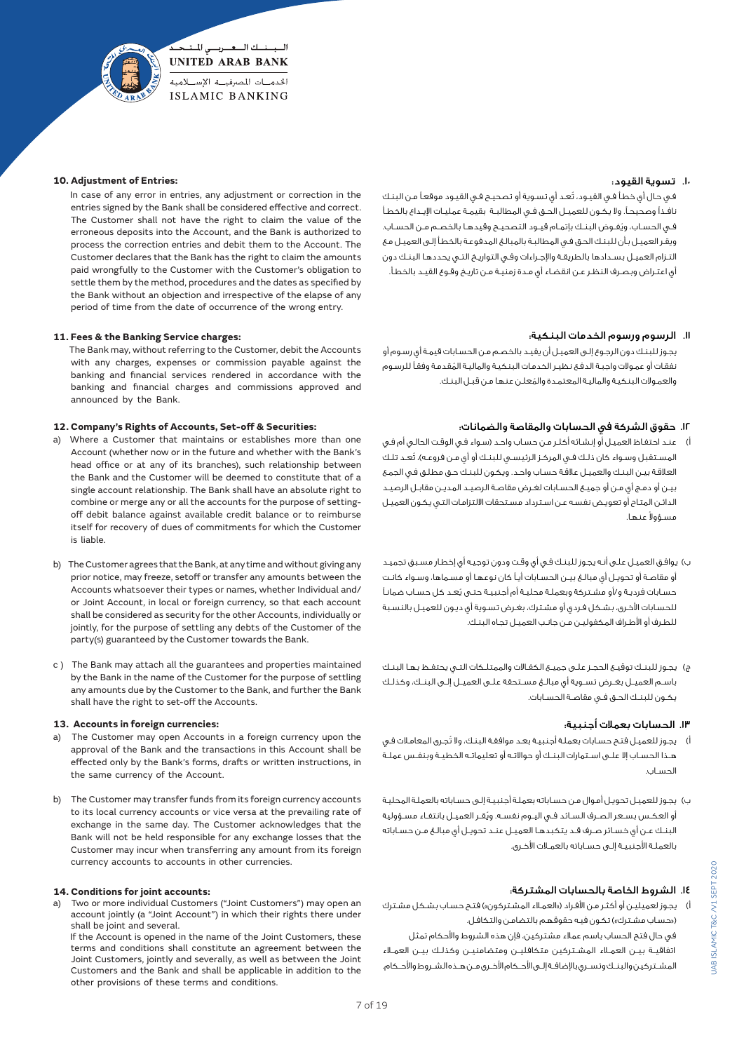

#### **10. Adjustment of Entries:**

 In case of any error in entries, any adjustment or correction in the entries signed by the Bank shall be considered effective and correct. The Customer shall not have the right to claim the value of the erroneous deposits into the Account, and the Bank is authorized to process the correction entries and debit them to the Account. The Customer declares that the Bank has the right to claim the amounts paid wrongfully to the Customer with the Customer's obligation to settle them by the method, procedures and the dates as specified by the Bank without an objection and irrespective of the elapse of any period of time from the date of occurrence of the wrong entry.

## **11. Fees & the Banking Service charges:**

 The Bank may, without referring to the Customer, debit the Accounts with any charges, expenses or commission payable against the banking and financial services rendered in accordance with the banking and financial charges and commissions approved and announced by the Bank.

## **12. Company's Rights of Accounts, Set-off & Securities:**

- a) Where a Customer that maintains or establishes more than one Account (whether now or in the future and whether with the Bank's head office or at any of its branches), such relationship between the Bank and the Customer will be deemed to constitute that of a single account relationship. The Bank shall have an absolute right to combine or merge any or all the accounts for the purpose of settingoff debit balance against available credit balance or to reimburse itself for recovery of dues of commitments for which the Customer is liable.
- b) The Customer agrees that the Bank, at any time and without giving any prior notice, may freeze, setoff or transfer any amounts between the Accounts whatsoever their types or names, whether Individual and/ or Joint Account, in local or foreign currency, so that each account shall be considered as security for the other Accounts, individually or jointly, for the purpose of settling any debts of the Customer of the party(s) guaranteed by the Customer towards the Bank.
- c ) The Bank may attach all the guarantees and properties maintained by the Bank in the name of the Customer for the purpose of settling any amounts due by the Customer to the Bank, and further the Bank shall have the right to set-off the Accounts.

#### **13. Accounts in foreign currencies:**

- The Customer may open Accounts in a foreign currency upon the approval of the Bank and the transactions in this Account shall be effected only by the Bank's forms, drafts or written instructions, in the same currency of the Account.
- b) The Customer may transfer funds from its foreign currency accounts to its local currency accounts or vice versa at the prevailing rate of exchange in the same day. The Customer acknowledges that the Bank will not be held responsible for any exchange losses that the Customer may incur when transferring any amount from its foreign currency accounts to accounts in other currencies.

#### **14. Conditions for joint accounts:**

a) Two or more individual Customers ("Joint Customers") may open an account jointly (a "Joint Account") in which their rights there under shall be joint and several.

 If the Account is opened in the name of the Joint Customers, these terms and conditions shall constitute an agreement between the Joint Customers, jointly and severally, as well as between the Joint Customers and the Bank and shall be applicable in addition to the other provisions of these terms and conditions.

## .10 تسوية القيود:

ُ فـي حـال أي خطـأ فـي القيـود، تعـد أي تسـوية أو تصحيـح فـي القيـود موقعـً مـن البنـك نافــذًا وصحيحــ.ً وال يكــون للعميــل الحــق فــي المطالبــة بقيمــة عمليــات اإليــداع بالخطــأ ُ فــي الحســاب، ويفــوض البنــك بإتمــام قيــود التصحيــح وقيدهــا بالخصــم مــن الحســاب. ويقـر العميـل بـأن للبنـك الحـق فـي المطالبـة بالمبالـغ المدفوعـة بالخطـأ إلـى العميـل مـع التـزام العميـل بسـدادها بالطريقـة واإلجـراءات وفـي التواريـخ التـي يحددهـا البنـك دون أي اعتـراض وبصـرف النظـر عـن انقضـاء أي مـدة زمنيـة مـن تاريـخ وقـوع القيـد بالخطـأ.

#### .11 الرسوم ورسوم الخدمات البنكية:

 يجـوز للبنـك دون الرجـوع إلـى العميـل أن يقيـد بالخصـم مـن الحسـابات قيمـة أي رسـوم أو ُ نفقـات أو عمـوالت واجبـة الدفـع نظيـر الخدمـات البنكيـة والماليـة المقدمـة وفقـً للرسـوم ُ والعمـوالت البنكيـة والماليـة المعتمـدة والمعلـن عنهـا مـن قبـل البنـك.

## .12 حقوق الشركة في الحسابات والمقاصة والضمانات:

- .<br>أ) عنـد احتفـاظ العميـل أو إنـشـائه أكثـر مـن حسـاب واحـد (سـواء فـي الوقـت الحالـي أم فـي المسـتقبل وسـواء كان ذلـك فـي المركـز الرئيسـي للبنـك أو أي مـن فروعـه)، تُعـد تلـك العالقـة بيـن البنـك والعميـل عالقـة حسـاب واحـد. ويكـون للبنـك حـق مطلـق فـي الجمـع بيـن أو دمـج أي مـن أو جميـع الحسـابات لغـرض مقاصـة الرصيـد المديـن مقابـل الرصيـد الدائـن المتـاح أو تعويـض نفسـه عـن اسـترداد مسـتحقات االلتزامـات التـي يكـون العميـل عسؤولا عنها.
- ب) يوافـق العميـل علـى أنـه يجـوز للبنـك فـى أي وقـت ودون توجيـه أي إخطار مسـبق تجميـد أو مقاصـة أو تحويـل أي مبالـغ بيـن الحسـابات أيـً كان نوعهـا أو مسـماها، وسـواء كانـت ُ حسـابات فرديـة و/أو مشـتركة وبعملـة محليـة أم أجنبيـة حتـى يعـد كل حسـاب ضمانـً للحسـابات األخـرى، بشـكل فـردي أو مشـترك، بغـرض تسـوية أي ديـون للعميـل بالنسـبة للطـرف أو األطـراف المكفوليـن مـن جانـب العميـل تجـاه البنـك.
- ج) يجـوز للبنـك توقيــع الحجـز علــى جميــع الـكفــاات والممتلــكات التــى يحتفــظ بـهـا البنــك باســم العميــل بغــرض تســوية أي مبالــغ مســتحقة علــى العميــل إلــى البنــك، وكذلــك يكــون للبنــك الحــق فــي مقاصــة الحســابات.

## .13 الحسابات بعمالت أجنبية:

- أ) يجـوز للعميـل فتـح حسـابات بعملـة أجنبيـة بعـد موافقـة البنـك، ولا تُجـرى المعامـلات فـي هــذا الحســاب إال علــى اســتمارات البنــك أو حواالتــه أو تعليماتــه الخطيــة وبنفــس عملــة الحســاب.
- ب) يجـوز للعميـل تحويـل أمـوال مـن حسـاباته بعمـلـة أجـنبيـة إلـى حسـاباته بالعملـة المحليـة ُ أو العكــس بســعر الصــرف الســائد فــي اليــوم نفســه. ويقــر العميــل بانتفــاء مســؤولية البنــك عــن أي خســائر صــرف قــد يتكبدهــا العميــل عنــد تحويــل أي مبالــغ مــن حســاباته بالعملـة األجنبيـة إلـى حسـاباته بالعمـات األخـرى.

# .14 الشروط الخاصة بالحسابات المشتركة:

- أ) يجوز لعميليـن أو أكثـر مـن الأفـراد («العمـلاء المشـتركون») فتـح حسـاب بشـكل مشـترك («حساب مشترك») تكون فيه حقوقهم بالتضامـن والتكافـل.
- في حال فتح الحساب باسم عمالء مشتركين، فإن هذه الشروط واألحكام تمثل اتفاقيــة بيــن العمــاء المشــتركين متكافليــن ومتضامنيــن وكذلــك بيــن العمــاء المشــتركين والبنــك وتســري باإلضافــة إلــى األحــكام األخــرى مــن هــذه الشــروط واألحــكام.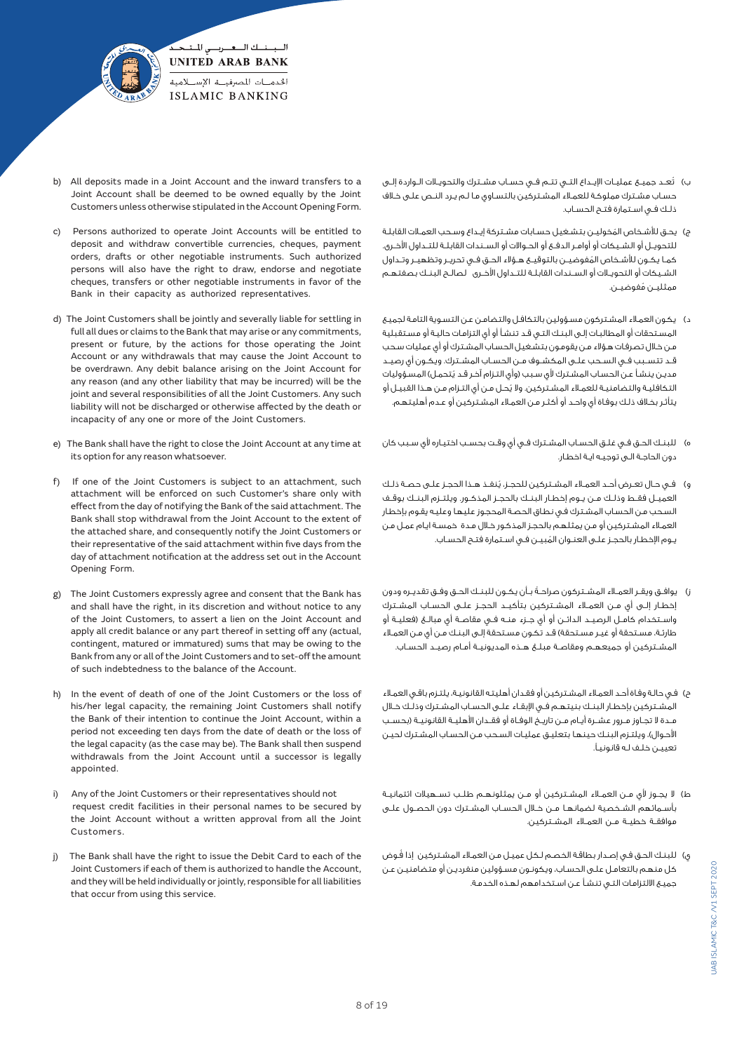

- b) All deposits made in a Joint Account and the inward transfers to a Joint Account shall be deemed to be owned equally by the Joint Customers unless otherwise stipulated in the Account Opening Form.
- c) Persons authorized to operate Joint Accounts will be entitled to deposit and withdraw convertible currencies, cheques, payment orders, drafts or other negotiable instruments. Such authorized persons will also have the right to draw, endorse and negotiate cheques, transfers or other negotiable instruments in favor of the Bank in their capacity as authorized representatives.
- d) The Joint Customers shall be jointly and severally liable for settling in full all dues or claims to the Bank that may arise or any commitments, present or future, by the actions for those operating the Joint Account or any withdrawals that may cause the Joint Account to be overdrawn. Any debit balance arising on the Joint Account for any reason (and any other liability that may be incurred) will be the joint and several responsibilities of all the Joint Customers. Any such liability will not be discharged or otherwise affected by the death or incapacity of any one or more of the Joint Customers.
- e) The Bank shall have the right to close the Joint Account at any time at its option for any reason whatsoever.
- f) If one of the Joint Customers is subject to an attachment, such attachment will be enforced on such Customer's share only with effect from the day of notifying the Bank of the said attachment. The Bank shall stop withdrawal from the Joint Account to the extent of the attached share, and consequently notify the Joint Customers or their representative of the said attachment within five days from the day of attachment notification at the address set out in the Account Opening Form.
- g) The Joint Customers expressly agree and consent that the Bank has and shall have the right, in its discretion and without notice to any of the Joint Customers, to assert a lien on the Joint Account and apply all credit balance or any part thereof in setting off any (actual, contingent, matured or immatured) sums that may be owing to the Bank from any or all of the Joint Customers and to set-off the amount of such indebtedness to the balance of the Account.
- h) In the event of death of one of the Joint Customers or the loss of his/her legal capacity, the remaining Joint Customers shall notify the Bank of their intention to continue the Joint Account, within a period not exceeding ten days from the date of death or the loss of the legal capacity (as the case may be). The Bank shall then suspend withdrawals from the Joint Account until a successor is legally appointed.
- i) Any of the Joint Customers or their representatives should not request credit facilities in their personal names to be secured by the Joint Account without a written approval from all the Joint Customers.
- j) The Bank shall have the right to issue the Debit Card to each of the Joint Customers if each of them is authorized to handle the Account, and they will be held individually or jointly, responsible for all liabilities that occur from using this service.
- ُ ب( تعــد جميــع عمليــات اإليــداع التــي تتــم فــي حســاب مشــترك والتحويــات الــواردة إلــى حسـاب مشـترك مملوكـة للعمـاء المشـتركين بالتسـاوي مـا لـم يـرد النـص علـى خـاف ذلــك فــي اســتمارة فتــح الحســاب.
- ج) يحـق للأشـخاص المُخوليـن بتشـغيـل حسـابات مشـتركة إيـداع وسـحب العمـلات القابلـة للتحويــل أو الشــيكات أو أوامــر الدفــع أو الحــواالت أو الســندات القابلــة للتــداول األخــرى. ُ كمــا يكــون لألشــخاص المفوضيــن بالتوقيــع هــؤالء الحــق فــي تحريــر وتظهيــر وتــداول الشــيكات أو التحويــات أو الســندات القابلــة للتــداول األخــرى لصالــح البنــك بصفتهــم ممثليــن مُفوضيــن.
- د( يكـون العمـاء المشـتركون مسـؤولين بالتكافـل والتضامـن عـن التسـوية التامـة لجميـع المسـتحقات أو المطالبـات إلـى البنـك التـي قـد تنشـأ أو أي التزامـات حاليـة أو مسـتقبلية مـن خـال تصرفـات هـؤالء مـن يقومـون بتشـغيل الحسـاب المشـترك أو أي عمليات سـحب قــد تتســبب فــي الســحب علــى المكشــوف مــن الحســاب المشــترك. ويكــون أي رصيــد مديـن ينشـأ عـن الحسـاب المشـتـرك لأي سـبب (وأي التـزام آخـر قـد يُتحمـل) المسـؤوليات ُ التكافليـة والتضامنيـة للعمـاء المشـتركين. وال يحـل مـن أي التـزام مـن هـذا القبيـل أو يتأثـر بخـاف ذلـك بوفـاة أي واحـد أو أكثـر مـن العمـاء المشـتركين أو عـدم أهليتهـم.
- ه) للبنـك الحـق فـى غلـق الحسـاب المشـترك فـى أي وقـت بحسـب اختيـاره لأي سـبب كان دون الحاجـة الـى توجيـه ايـة اخطـار.
- ُ و( فــي حــال تعــرض أحــد العمــاء المشــتركين للحجــز، ينفــذ هــذا الحجــز علــى حصــة ذلــك العميــل فقــط وذلــك مــن يــوم إخطــار البنــك بالحجــز المذكــور. ويلتــزم البنــك بوقــف السـحب مـن الحسـاب المشـترك فـي نطـاق الحصـة المحجـوز عليهـا وعليـه يقـوم بإخطـار العمـاء المشـتركين أو مـن يمثلهـم بالحجـز المذكـور خـال مـدة خمسـة ايـام عمـل مـن ُ يــوم اإلخطــار بالحجــز علــى العنــوان المبيــن فــي اســتمارة فتــح الحســاب.
- ً ز( يوافــق ويقــر العمــاء المشــتركون صراحــة بــأن يكــون للبنــك الحــق وفــق تقديــره ودون إخطــار إلــى أي مــن العمــلاء المشــتركين بتأكيــد الحجــز عـلــى الحســاب المشــترك واســتخدام كامــل الرصيــد الدائــن أو أي جــزء منــه فــي مقاصــة أي مبالــغ )فعليــة أو طارئـة، مسـتحقة أو غيـر مسـتحقة) قـد تكـون مسـتحقة إلـى البنـك مـن أي مـن العمـلاء المشــتركين أو جميعهــم ومقاصــة مبلــغ هــذه المديونيــة أمــام رصيــد الحســاب.
- ح) فـي حالـة وفـاة أحـد العمـلاء المشـتركين أو فقـدان أهليتـه القانونيـة، يلتـزم باقـي العمـلاء المشــتركين بإخطــار البنــك بنيتهــم فــي اإلبقــاء علــى الحســاب المشــترك وذلــك خــال مــدة ال تجــاوز مــرور عشــرة أيــام مــن تاريــخ الوفــاة أو فقــدان األهليــة القانونيــة )بحســب الأحوال)، ويلتـزم البنـك حينها بتعليـق عمليـات السـحب مـن الحساب المشـترك لحيـن تعييـن خلـف لـه قانونيـ.ً
- ط) ا يجــوز لأي مــن العمــلاء المشــتـركين أو مــن يمثلونهـم طلــب تســهيلات ائتمانيــة بأســمائهم الشــخصية لضمانهــا مــن خــال الحســاب المشــترك دون الحصــول علــى موافقــة خطيــة مــن العمــاء المشــتركين.
- ُ ي( للبنـك الحـق فـي إصـدار بطاقـة الخصـم لـكل عميـل مـن العمـاء المشـتركين إذا فـوض كل منهـم بالتعامـل علـى الحسـاب، ويكونـون مسـؤولين منفرديـن أو متضامنيـن عـن جميـع االلتزامـات التـي تنشـأ عـن اسـتخدامهم لهـذه الخدمـة.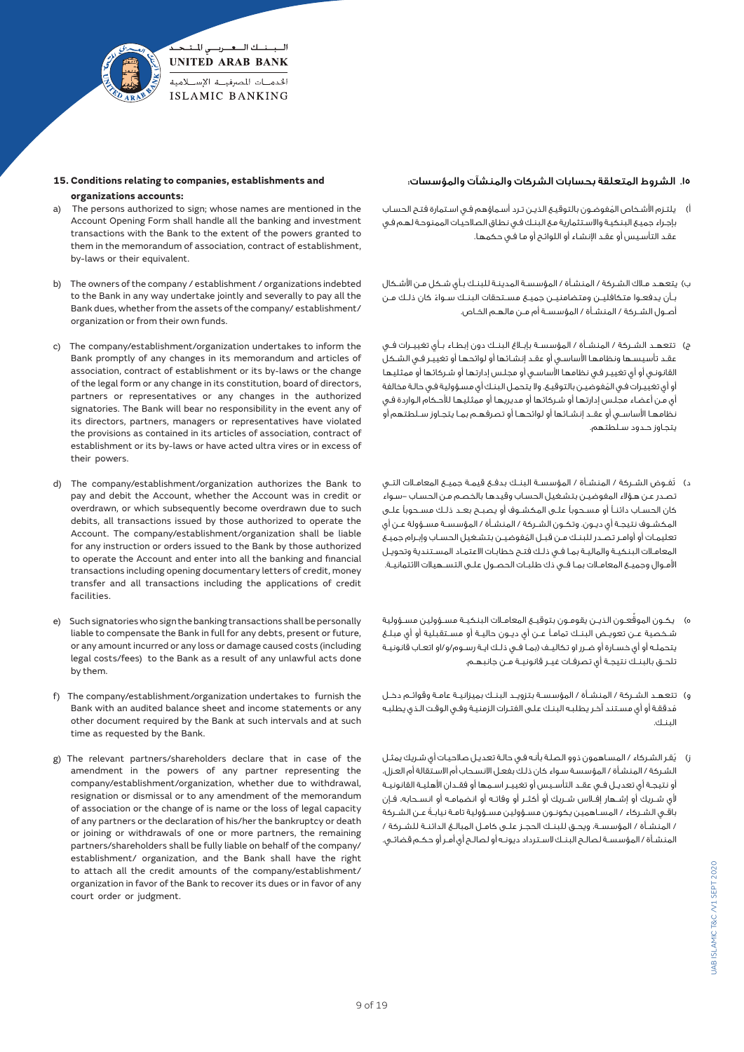

# **15. Conditions relating to companies, establishments and organizations accounts:**

- a) The persons authorized to sign; whose names are mentioned in the Account Opening Form shall handle all the banking and investment transactions with the Bank to the extent of the powers granted to them in the memorandum of association, contract of establishment, by-laws or their equivalent.
- b) The owners of the company / establishment / organizations indebted to the Bank in any way undertake jointly and severally to pay all the Bank dues, whether from the assets of the company/ establishment/ organization or from their own funds.
- c) The company/establishment/organization undertakes to inform the Bank promptly of any changes in its memorandum and articles of association, contract of establishment or its by-laws or the change of the legal form or any change in its constitution, board of directors, partners or representatives or any changes in the authorized signatories. The Bank will bear no responsibility in the event any of its directors, partners, managers or representatives have violated the provisions as contained in its articles of association, contract of establishment or its by-laws or have acted ultra vires or in excess of their powers.
- d) The company/establishment/organization authorizes the Bank to pay and debit the Account, whether the Account was in credit or overdrawn, or which subsequently become overdrawn due to such debits, all transactions issued by those authorized to operate the Account. The company/establishment/organization shall be liable for any instruction or orders issued to the Bank by those authorized to operate the Account and enter into all the banking and financial transactions including opening documentary letters of credit, money transfer and all transactions including the applications of credit facilities.
- e) Such signatories who sign the banking transactions shall be personally liable to compensate the Bank in full for any debts, present or future, or any amount incurred or any loss or damage caused costs (including legal costs/fees) to the Bank as a result of any unlawful acts done by them.
- f) The company/establishment/organization undertakes to furnish the Bank with an audited balance sheet and income statements or any other document required by the Bank at such intervals and at such time as requested by the Bank.
- g) The relevant partners/shareholders declare that in case of the amendment in the powers of any partner representing the company/establishment/organization, whether due to withdrawal, resignation or dismissal or to any amendment of the memorandum of association or the change of is name or the loss of legal capacity of any partners or the declaration of his/her the bankruptcy or death or joining or withdrawals of one or more partners, the remaining partners/shareholders shall be fully liable on behalf of the company/ establishment/ organization, and the Bank shall have the right to attach all the credit amounts of the company/establishment/ organization in favor of the Bank to recover its dues or in favor of any court order or judgment.

# .15 الشروط المتعلقة بحسابات الشركات والمنشآت والمؤسسات:

- ُ أ( يلتـزم األشـخاص المفوضـون بالتوقيـع الذيـن تـرد أسـماؤهم فـي اسـتمارة فتـح الحسـاب بإجـراء جميـع البنكيـة واالسـتثمارية مـع البنـك فـي نطـاق الصالحيـات الممنوحـة لهـم فـي عقـد التأسـيس أو عقـد اإلنشـاء أو اللوائـح أو مـا فـي حكمهـا.
- ب) يتعهـد مـالك الشـركة / المنشـأة / المؤسسـة المدينـة للبنـك بـأى شـكل مـن الأشـكال ً بــأن يدفعــوا متكافليــن ومتضامنيــن جميــع مســتحقات البنــك ســواء كان ذلــك مــن أصــول الشــركة / المنشــأة / المؤسســة أم مــن مالهــم الخــاص.
- ج) تتعهـد الشــركة / المنشــأة / المؤسسـة بإبــلاغ البنــك دون إبطـاء بـأي تغييــرات فــي عقـد تأسيسـها ونظامهـا األساسـي أو عقـد إنشـائها أو لوائحهـا أو تغييـر فـي الشـكل القانونـي أو أي تغييـر فـي نظامهـا األساسـي أو مجلـس إدارتهـا أو شـركائها أو ممثليهـا ُ أو أي تغييـرات فـي المفوضيـن بالتوقيـع. وال يتحمـل البنـك أي مسـؤولية فـي حالـة مخالفة أي مـن أعضـاء مجلـس إدارتهـا أو شـركائها أو مديريهـا أو ممثليهـا لألحـكام الـواردة فـي نظامهــا األساســي أو عقــد إنشــائها أو لوائحهــا أو تصرفهــم بمــا يتجــاوز ســلطتهم أو يتجـاوز حـدود سـلطتهم.
- د) تُفـوض الشــركة / المنشــأة / المؤسسـة البنــك بدفــع قيمــة جميــع المعامــلات التــى تصـدر عـن هـؤالء المفوضيـن بتشـغيل الحسـاب وقيدهـا بالخصـم مـن الحسـاب -سـواء كان الحســاب دائنــً أو مســحوبًا علــى المكشــوف أو يصبــح بعــد ذلــك مســحوبًا علــى المكشــوف نتيجــة أي ديــون. وتكــون الشــركة / المنشــأة / المؤسســة مســؤولة عــن أي ُ تعليمــات أو أوامــر تصــدر للبنــك مــن قبــل المفوضيــن بتشــغيل الحســاب وإبــرام جميــع المعامــات البنكيــة والماليــة بمــا فــي ذلــك فتــح خطابــات االعتمــاد المســتندية وتحويــل األمــوال وجميــع المعامــات بمــا فــي ذك طلبــات الحصــول علــى التســهيالت االئتمانيــة.
- ه) يكـون الموقّعـون الذيــن يقومـون بتوقيــع المعامــلات البنكيــة مســؤولية وولية شــخصية عــن تعويــض البنــك تمامــً عــن أي ديــون حاليــة أو مســتقبلية أو أي مبلــغ يتحملــه أو أي خســارة أو ضــرر او تكاليــف )بمــا فــي ذلــك ايــة رســوم/و/او اتعــاب قانونيــة تلحــق بالبنــك نتيجــة أي تصرفــات غيــر قانونيــة مــن جانبهــم.
- و( تتعهــد الشــركة / المنشــأة / المؤسســة بتزويــد البنــك بميزانيــة عامــة وقوائــم دخــل ُمدققـة أو أي مسـتند آخـر يطلبـه البنـك علـى الفتـرات الزمنيـة وفـي الوقـت الـذي يطلبـه البنـك.
- ُ ز( يقـر الشـركاء / المسـاهمون ذوو الصلـة بأنـه فـي حالـة تعديـل صالحيـات أي شـريك يمثـل الشـركة / المنشـأة / المؤسسـة سـواء كان ذلـك بفعـل االنسـحاب أم االسـتقالة أم العـزل، أو نتيجــة أي تعديــل فــي عقــد التأســيس أو تغييــر اســمها أو فقــدان األهليــة القانونيــة ألي شــريك أو إشــهار إفــاس شــريك أو أكثــر أو وفاتــه أو انضمامــه أو انســحابه، فــإن ً باقــي الشــركاء / المســاهمين يكونــون مســؤولين مســؤولية تامــة نيابــة عــن الشــركة / المنشــأة / المؤسســة، ويحــق للبنــك الحجــز علــى كامــل المبالــغ الدائنــة للشــركة / المنشــأة / المؤسســة لصالــح البنــك الســترداد ديونــه أو لصالــح أي أمــر أو حكــم قضائــي.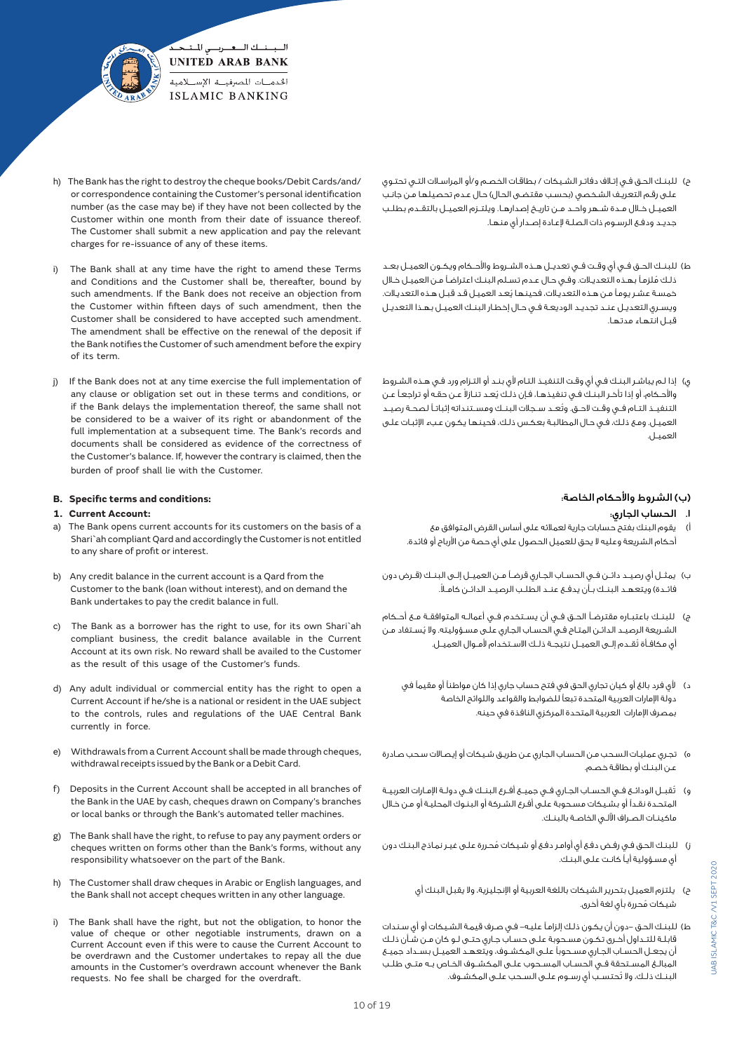

- h) The Bank has the right to destroy the cheque books/Debit Cards/and/ or correspondence containing the Customer's personal identification number (as the case may be) if they have not been collected by the Customer within one month from their date of issuance thereof. The Customer shall submit a new application and pay the relevant charges for re-issuance of any of these items.
- i) The Bank shall at any time have the right to amend these Terms and Conditions and the Customer shall be, thereafter, bound by such amendments. If the Bank does not receive an objection from the Customer within fifteen days of such amendment, then the Customer shall be considered to have accepted such amendment. The amendment shall be effective on the renewal of the deposit if the Bank notifies the Customer of such amendment before the expiry of its term.
- j) If the Bank does not at any time exercise the full implementation of any clause or obligation set out in these terms and conditions, or if the Bank delays the implementation thereof, the same shall not be considered to be a waiver of its right or abandonment of the full implementation at a subsequent time. The Bank's records and documents shall be considered as evidence of the correctness of the Customer's balance. If, however the contrary is claimed, then the burden of proof shall lie with the Customer.

# **B. Specific terms and conditions:**

# **1. Current Account:**

- The Bank opens current accounts for its customers on the basis of a Shari`ah compliant Qard and accordingly the Customer is not entitled to any share of profit or interest.
- b) Any credit balance in the current account is a Qard from the Customer to the bank (loan without interest), and on demand the Bank undertakes to pay the credit balance in full.
- c) The Bank as a borrower has the right to use, for its own Shari`ah compliant business, the credit balance available in the Current Account at its own risk. No reward shall be availed to the Customer as the result of this usage of the Customer's funds.
- d) Any adult individual or commercial entity has the right to open a Current Account if he/she is a national or resident in the UAE subject to the controls, rules and regulations of the UAE Central Bank currently in force.
- e) Withdrawals from a Current Account shall be made through cheques, withdrawal receipts issued by the Bank or a Debit Card.
- f) Deposits in the Current Account shall be accepted in all branches of the Bank in the UAE by cash, cheques drawn on Company's branches or local banks or through the Bank's automated teller machines.
- g) The Bank shall have the right, to refuse to pay any payment orders or cheques written on forms other than the Bank's forms, without any responsibility whatsoever on the part of the Bank.
- h) The Customer shall draw cheques in Arabic or English languages, and the Bank shall not accept cheques written in any other language.
- The Bank shall have the right, but not the obligation, to honor the value of cheque or other negotiable instruments, drawn on a Current Account even if this were to cause the Current Account to be overdrawn and the Customer undertakes to repay all the due amounts in the Customer's overdrawn account whenever the Bank requests. No fee shall be charged for the overdraft.
- ح) للبنـك الحـق فـى إتـلاف دفاتـر الشـيكات / بطاقـات الخصـم و/أو المراسـلات التـى تحتـوى علـى رقـم التعريـف الشخصى (بحسـب مقتضـى الحال) حـال عـدم تحصيلها مـن جانـب العميــل خــال مــدة شــهر واحــد مــن تاريــخ إصدارهــا. ويلتــزم العميــل بالتقــدم بطلــب جديـد ودفـع الرسـوم ذات الصلـة إلعـادة إصـدار أي منهـا.
- ط) للبنــك الحــق فــي أي وقــت فــي تعديــل هــذه الشــروط والأحــكام ويكــون العميــل بعــد ُ ذلـك ملزمـً بهـذه التعديـات. وفـي حـال عـدم تسـلم البنـك اعتراضـً مـن العميـل خـال ُ خمسـة عشـر يومـً مـن هـذه التعديـات، فحينهـا يعـد العميـل قـد قبـل هـذه التعديـات. ويسـري التعديـل عنـد تجديـد الوديعـة فـي حـال إخطـار البنـك العميـل بهـذا التعديـل قبـل انتهـاء مدتهـا.
- ي( إذا لـم يباشـر البنـك فـي أي وقـت التنفيـذ التـام ألي بنـد أو التـزام ورد فـي هـذه الشـروط والأحـكام، أو إذا تأخـر البنـك فـي تنفيذهـا، فـإن ذلـك يُعـد تنـازلا عـن حقـه أو تراجعـاً عـن ُ التنفيــذ التــام فــي وقــت الحــق. وتعــد ســجالت البنــك ومســتنداته إثباتــً لصحــة رصيــد العميـل. ومـع ذلـك، فـي حـال المطالبـة بعكـس ذلـك، فحينهـا يكـون عـبء اإلثبـات علـى العميـل.

# )ب( الشروط واألحكام الخاصة:

- .1 الحساب الجاري:
- أ) يقوم البنك بفتح حسابات جارية لعملائه على أساس القرض المتوافق مع أحكام الشريعة وعليه ال يحق للعميل الحصول على أي حصة من األرباح أو فائدة.
- ب( يمثــل أي رصيــد دائــن فــي الحســاب الجــاري قرضــً مــن العميــل إلــى البنــك )قــرض دون فائــدة) ويتعهــد البنــك بـأن يدفـع عنــد الطلــب الرصيــد الدائــن كامـلاً.
- ج) للبنــك باعتبــاره مقترضــاً الحــق فــي أن يســتخدم فــي أعمالــه المتوافقــة مــع أحــكام ُ الشـريعة الرصيـد الدائـن المتـاح فـي الحسـاب الجـاري علـى مسـؤوليته. وال يسـتفاد مـن ُ أي مكافــأة تقــدم إلــى العميــل نتيجــة ذلــك االســتخدام ألمــوال العميــل.
	- د) لأي فرد بالغ أو كيان تجاري الحق في فتح حساب جاري إذا كان مواطناً أو مقيماً في دولة اإلمارات العربية المتحدة تبعًا للضوابط والقواعد واللوائح الخاصة بمصرف اإلمارات العربية المتحدة المركزي النافذة في حينه.
- ه) تجـري عمليـات السـحب مـن الحسـاب الجـاري عـن طريـق شـيـكات أو إيـصـالات سـحب صـادرة عـن البنـك أو بطاقـة خصـم.
- و) \_ تُقبــل الودائــع فــي الحســاب الجــاري فــي جميــع أفــرع البنــك فــي دولــة الإمــارات العربيــة المتحـدة نقـدًا أو بشـيكات مسـحوبة علـى أفـرع الشـركة أو البنـوك المحليـة أو مـن خـال ماكينــات الصــراف اآللــي الخاصــة بالبنــك.
- ُ ز( للبنـك الحـق فـي رفـض دفـع أي أوامـر دفـع أو شـيكات محـررة علـى غيـر نمـاذج البنـك دون أي مسـؤولية أيـً كانـت علـى البنـك.
	- ح) يلتزم العميل بتحرير الشيكات باللغة العربية أو الإنجليزية، ولا يقبل البنك أي ُ شيكات محررة بأي لغة أخرى.
- ط) للبنـك الحـق –دون أن يكون ذلـك إلزاماً عليـه– فـي صـرف قيمـة الشـيكات أو أي سـندات قابلــة للتــداول أخــرى تكــون مســحوبة علــى حســاب جــاري حتــى لــو كان مــن شــأن ذلــك أن يجعــل الحســاب الجــاري مســحوبًا علــى المكشــوف، ويتعهــد العميــل بســداد جميــع المبالــغ المســتحقة فــي الحســاب المســحوب علــى المكشــوف الخــاص بــه متــى طلــب ُ البنــك ذلــك، وال تحتســب أي رســوم علــى الســحب علــى المكشــوف.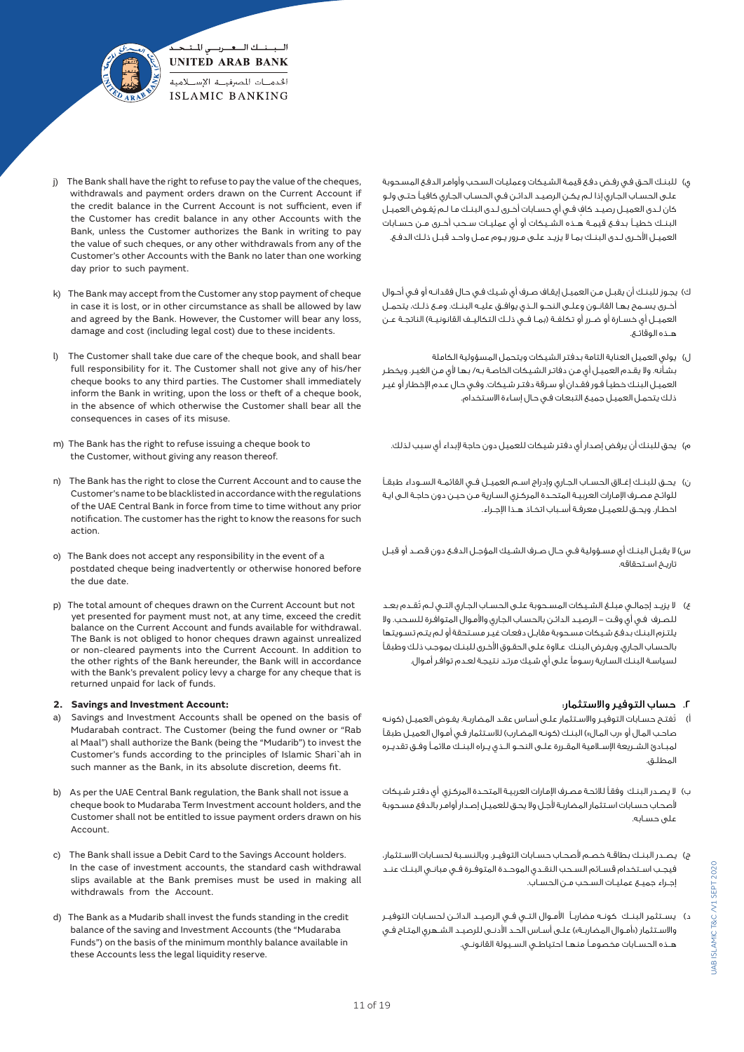

- j) The Bank shall have the right to refuse to pay the value of the cheques, withdrawals and payment orders drawn on the Current Account if the credit balance in the Current Account is not sufficient, even if the Customer has credit balance in any other Accounts with the Bank, unless the Customer authorizes the Bank in writing to pay the value of such cheques, or any other withdrawals from any of the Customer's other Accounts with the Bank no later than one working day prior to such payment.
- k) The Bank may accept from the Customer any stop payment of cheque in case it is lost, or in other circumstance as shall be allowed by law and agreed by the Bank. However, the Customer will bear any loss, damage and cost (including legal cost) due to these incidents.
- l) The Customer shall take due care of the cheque book, and shall bear full responsibility for it. The Customer shall not give any of his/her cheque books to any third parties. The Customer shall immediately inform the Bank in writing, upon the loss or theft of a cheque book, in the absence of which otherwise the Customer shall bear all the consequences in cases of its misuse.
- m) The Bank has the right to refuse issuing a cheque book to the Customer, without giving any reason thereof.
- n) The Bank has the right to close the Current Account and to cause the Customer's name to be blacklisted in accordance with the regulations of the UAE Central Bank in force from time to time without any prior notification. The customer has the right to know the reasons for such action.
- o) The Bank does not accept any responsibility in the event of a postdated cheque being inadvertently or otherwise honored before the due date.
- p) The total amount of cheques drawn on the Current Account but not yet presented for payment must not, at any time, exceed the credit balance on the Current Account and funds available for withdrawal. The Bank is not obliged to honor cheques drawn against unrealized or non-cleared payments into the Current Account. In addition to the other rights of the Bank hereunder, the Bank will in accordance with the Bank's prevalent policy levy a charge for any cheque that is returned unpaid for lack of funds.

#### **2. Savings and Investment Account:**

- a) Savings and Investment Accounts shall be opened on the basis of Mudarabah contract. The Customer (being the fund owner or "Rab al Maal") shall authorize the Bank (being the "Mudarib") to invest the Customer's funds according to the principles of Islamic Shari`ah in such manner as the Bank, in its absolute discretion, deems fit.
- b) As per the UAE Central Bank regulation, the Bank shall not issue a cheque book to Mudaraba Term Investment account holders, and the Customer shall not be entitled to issue payment orders drawn on his Account.
- c) The Bank shall issue a Debit Card to the Savings Account holders. In the case of investment accounts, the standard cash withdrawal slips available at the Bank premises must be used in making all withdrawals from the Account.
- d) The Bank as a Mudarib shall invest the funds standing in the credit balance of the saving and Investment Accounts (the "Mudaraba Funds") on the basis of the minimum monthly balance available in these Accounts less the legal liquidity reserve.
- ى) للبنـك الحـق فـى رفـض دفـع قيمـة الشـيكات وعمليـات السـحب وأوامـر الدفـع المسـحوبة علـى الحسـاب الجـاري إذا لـم يكـن الرصيـد الدائـن فـي الحسـاب الجـاري كافيـً حتـى ولـو كان لـدى العميـل رصيـد كاف فـى أي حسـابات أخـرى لـدى البنـك مـا لـم يُفـوض العميـل البنــك خطيــً بدفــع قيمــة هــذه الشــيكات أو أي عمليــات ســحب أخــرى مــن حســابات العميــل األخــرى لــدى البنــك بمــا ال يزيــد علــى مــرور يــوم عمــل واحــد قبــل ذلــك الدفــع.
- ك) يجـوز للبنـك أن يقبـل مـن العميـل إيقـاف صـرف أي شـيك فـي حـال فقدانـه أو فـي أحـوال أخــرى يســمح بهــا القانــون وعلــى النحــو الــذي يوافــق عليــه البنــك. ومــع ذلــك، يتحمــل العميــل أي خسـارة أو ضـرر أو تكلفــة (بمـا فــى ذلــك التكاليــف القانونيــة) الناتجــة عــن هــذه الوقائــع.
- ل) يولي العميل العناية التامة بدفتر الشيكات ويتحمل المسؤولية الكاملة بشـأنه. وال يقـدم العميـل أي مـن دفاتـر الشـيكات الخاصـة بـه/ بهـا ألي مـن الغيـر. ويخطـر العميـل البنـك خطيـً فـور فقـدان أو سـرقة دفتـر شـيكات. وفـي حـال عـدم اإلخطـار أو غيـر ذلـك يتحمـل العميـل جميـع التبعـات فـي حـال إسـاءة االسـتخدام.
	- م) يحق للبنك أن يرفض إصدار أي دفتر شيكات للعميل دون حاجة لإبداء أي سبب لذلك.
- ن) يحـق للبنــك إغــلق الحسـاب الجـاري وإدراج اســم العميــل فــي القائمـة الســوداء طبقـاً للوائـح مصـرف اإلمـارات العربيـة المتحـدة المركـزي السـارية مـن حيـن دون حاجـة الـى ايـة اخطــار. ويحــق للعميــل معرفــة أســباب اتخــاذ هــذا اإلجــراء.
- س) لا يقبـل البنـك أي مسـؤولية فـي حـال صـرف الشـيك المؤجـل الدفـع دون قصـد أو قبـل تاريـخ اسـتحقاقه.
- ع) لا يزيــد إجمالــي مبلــغ الشـيـكات المســحوبة علــى الحسـاب الجـاري التــي لــم تُقــدم بعــد للصـرف فـي أي وقـت - الرصيـد الدائـن بالحسـاب الجـاري واألمـوال المتوافـرة للسـحب. وال يلتـزم البنـك بدفـع شـيكات مسـحوبة مقابـل دفعـات غيـر مسـتحقة أو لـم يتـم تسـويتها بالحسـاب الجـاري. ويفـرض البنـك عـاوة علـى الحقـوق األخـرى للبنـك بموجـب ذلـك وطبقـً لسياسـة البنـك السـارية رسـومًا علـى أي شـيك مرتـد نتيجـة لعـدم توافـر أمـوال.

# .2 حساب التوفير واالستثمار:

- ُ أ( تفتـح حسـابات التوفيـر واالسـتثمار علـى أسـاس عقـد المضاربـة. يفـوض العميـل )كونـه صاحـب المـال أو «رب المـال») البـنـك (كونـه المضـارب) للاسـتثمار فـي أمـوال العميـل طبقـًا لمبــادئ الشــريعة اإلســامية المقــررة علــى النحــو الــذي يــراه البنــك مالئمــً وفــق تقديــره المطلـق.
- ب) لا يصـدر البنـك وفقـاً للائحة مصـرف الإمارات العربيـة المتحـدة المركـزي أي دفتـر شـيكات ألصحـاب حسـابات اسـتثمار المضاربـة ألجـل وال يحـق للعميـل إصـدار أوامـر بالدفع مسـحوبة على حسـابه.
- ج) يصــدر البنــك بطاقــة خصـم لأصحـاب حسـابات التوفيــر. وبالنسـبة لحسـابات الاســتثمار، فيجــب اســتخدام قســائم الســحب النقــدي الموحــدة المتوفــرة فــي مبانــي البنــك عنــد إجــراء جميــع عمليــات الســحب مــن الحســاب.
- د( يســتثمر البنــك كونــه مضاربــً األمــوال التــي فــي الرصيــد الدائــن لحســابات التوفيــر والاسـتثمار («أمـوال المضاربـة») علـى أسـاس الحـد الأدنـى للرصيـد الشـهري المتـاح فـي هــذه الحســابات مخصومــً منهــا احتياطــي الســيولة القانونــي.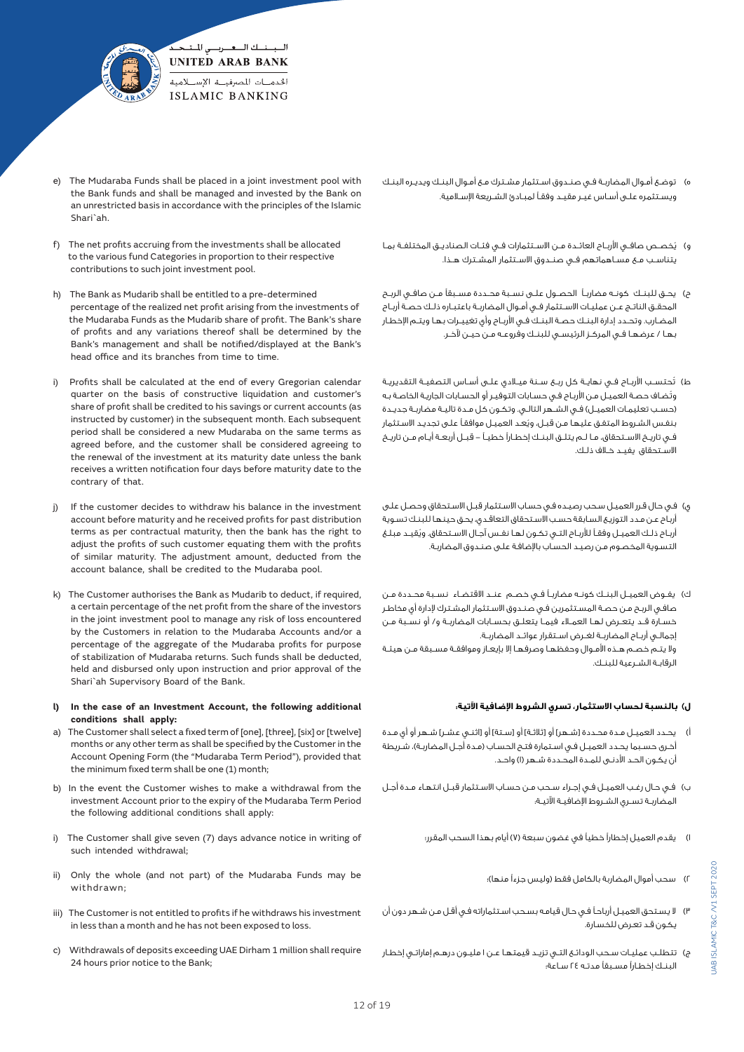

- e) The Mudaraba Funds shall be placed in a joint investment pool with the Bank funds and shall be managed and invested by the Bank on an unrestricted basis in accordance with the principles of the Islamic Shari`ah.
- f) The net profits accruing from the investments shall be allocated to the various fund Categories in proportion to their respective contributions to such joint investment pool.
- h) The Bank as Mudarib shall be entitled to a pre-determined percentage of the realized net profit arising from the investments of the Mudaraba Funds as the Mudarib share of profit. The Bank's share of profits and any variations thereof shall be determined by the Bank's management and shall be notified/displayed at the Bank's head office and its branches from time to time.
- i) Profits shall be calculated at the end of every Gregorian calendar quarter on the basis of constructive liquidation and customer's share of profit shall be credited to his savings or current accounts (as instructed by customer) in the subsequent month. Each subsequent period shall be considered a new Mudaraba on the same terms as agreed before, and the customer shall be considered agreeing to the renewal of the investment at its maturity date unless the bank receives a written notification four days before maturity date to the contrary of that.
- j) If the customer decides to withdraw his balance in the investment account before maturity and he received profits for past distribution terms as per contractual maturity, then the bank has the right to adjust the profits of such customer equating them with the profits of similar maturity. The adjustment amount, deducted from the account balance, shall be credited to the Mudaraba pool.
- k) The Customer authorises the Bank as Mudarib to deduct, if required, a certain percentage of the net profit from the share of the investors in the joint investment pool to manage any risk of loss encountered by the Customers in relation to the Mudaraba Accounts and/or a percentage of the aggregate of the Mudaraba profits for purpose of stabilization of Mudaraba returns. Such funds shall be deducted, held and disbursed only upon instruction and prior approval of the Shari`ah Supervisory Board of the Bank.
- **l) In the case of an Investment Account, the following additional conditions shall apply:**
- a) The Customer shall select a fixed term of [one], [three], [six] or [twelve] months or any other term as shall be specified by the Customer in the Account Opening Form (the "Mudaraba Term Period"), provided that the minimum fixed term shall be one (1) month;
- b) In the event the Customer wishes to make a withdrawal from the investment Account prior to the expiry of the Mudaraba Term Period the following additional conditions shall apply:
- i) The Customer shall give seven (7) days advance notice in writing of such intended withdrawal;
- ii) Only the whole (and not part) of the Mudaraba Funds may be withdrawn;
- iii) The Customer is not entitled to profits if he withdraws his investment in less than a month and he has not been exposed to loss.
- c) Withdrawals of deposits exceeding UAE Dirham 1 million shall require 24 hours prior notice to the Bank;
- ه) توضـع أمـوال المضاربـة فـي صنـدوق اسـتثمار مشـترك مـع أمـوال البنـك ويديـره البنـك ويسـتثمره علـى أسـاس غيـر مقيـد وفقـً لمبـادئ الشـريعة اإلسـامية.
- ُ و( يخصــص صافــي األربــاح العائــدة مــن االســتثمارات فــي فئــات الصناديــق المختلفــة بمــا يتناســب مــع مســاهماتهم فــي صنــدوق االســتثمار المشــترك هــذا.
- ح) يحــق للبنــك كونــه مضاربــاً الحصــول علــى نســبة محــددة مســبقاً مــن صافــى الربــح المحقــق الناتــج عــن عمليــات االســتثمار فــي أمــوال المضاربــة باعتبــاره ذلــك حصــة أربــاح المضــارب. وتحــدد إدارة البنــك حصــة البنــك فــي األربــاح وأي تغييــرات بهــا ويتــم اإلخطــار بهــا / عرضهــا فــي المركــز الرئيســي للبنــك وفروعــه مــن حيــن آلخــر.
- ط) تُحتســب الأربــاح فــى نــــايــة كل ربــع ســنـة ميــلادي علــى أســاس التـصفيــة التقديريــة ُوتضـاف حصـة العميـل مـن األربـاح فـي حسـابات التوفيـر أو الحسـابات الجاريـة الخاصـة بـه (حسـب تعليمـات العميـل) فــي الشــهر التالـي. وتكـون كل مـدة تاليـة مضاربـة جديـدة ُ بنفـس الشـروط المتفـق عليهـا مـن قبـل، ويعـد العميـل موافقـً علـى تجديـد االسـتثمار فــي تاريــخ االســتحقاق، مــا لــم يتلــق البنــك إخطــارًا خطيــً - قبــل أربعــة أيــام مــن تاريــخ االســتحقاق يفيــد خــاف ذلــك.
- ي) فـي حـال قـرر العميـل سـحب رصيـده فـي حسـاب الاسـتثمار قبـل الاسـتحقاق وحصـل علـى أربـاح عـن مـدد التوزيـع السـابقة حسـب االسـتحقاق التعاقـدي، يحـق حينهـا للبنـك تسـوية ُ أربــاح ذلــك العميــل وفقــً لألربــاح التــي تكــون لهــا نفــس آجــال االســتحقاق. ويقيــد مبلــغ التسـوية المخصـوم مـن رصيـد الحسـاب باإلضافـة علـى صنـدوق المضاربـة.
- ك) يفـوض العميــل البنــك كونــه مضاربــاً فــى خصــم عنــد االقتضـاء نســبة محــددة مــن صافـي الربـح مـن حصـة المسـتثمرين فـي صنـدوق االسـتثمار المشـترك إلدارة أي مخاطـر خســارة قــد يتعــرض لهــا العمــاء فيمــا يتعلــق بحســابات المضاربــة و/ أو نســبة مــن إجمالــي أربــاح المضاربــة لغــرض اســتقرار عوائــد المضاربــة. وال يتــم خصــم هــذه األمــوال وحفظهــا وصرفهــا إال بإيعــاز وموافقــة مســبقة مــن هيئــة الرقابــة الشــرعية للبنــك.

## **ل( بالنسبة لحساب االستثمار، تسري الشروط اإلضافية اآلتية:**

- أ) يحـدد العميـل مـدة محـددة [شـهر] أو [ثلاثـة] أو [سـتة] أو [اثنـى عشـر] شـهر أو أي مـدة أخـرى حسـبما يحـدد العميـل فـي اسـتمارة فتـح الحسـاب (مـدة أجـل المضاربـة)، شـريطة أن يكـون الحـد األدنـى للمـدة المحـددة شـهر )1( واحـد.
- ب) فـي حـال رغـب العميـل فـي إجـراء سـحب مـن حسـاب الاسـتثمار قبـل انتهاء مـدة أجـل المضاربــة تســري الشــروط اإلضافيــة اآلتيــة:
	- ا) يقدم العميل إخطاراً خطياً في غضون سبعة (٧) أيام بهذا السحب المقرر؛
		- 2( سحب أموال المضاربة بالكامل فقط )وليس جزءًا منها(؛
- 3( ال يسـتحق العميـل أرباحـً فـي حـال قيامـه بسـحب اسـتثماراته فـي أقـل مـن شـهر دون أن يكـون قـد تعـرض للخسـارة.
- ج) تتطلـب عمليـات سـحب الودائـع التــي تزيــد قيمتهـا عـن ۱ مليـون درهـم إماراتـي إخطـار البنــك إخطــارًا مســبقًا مدتــه 24 ســاعة؛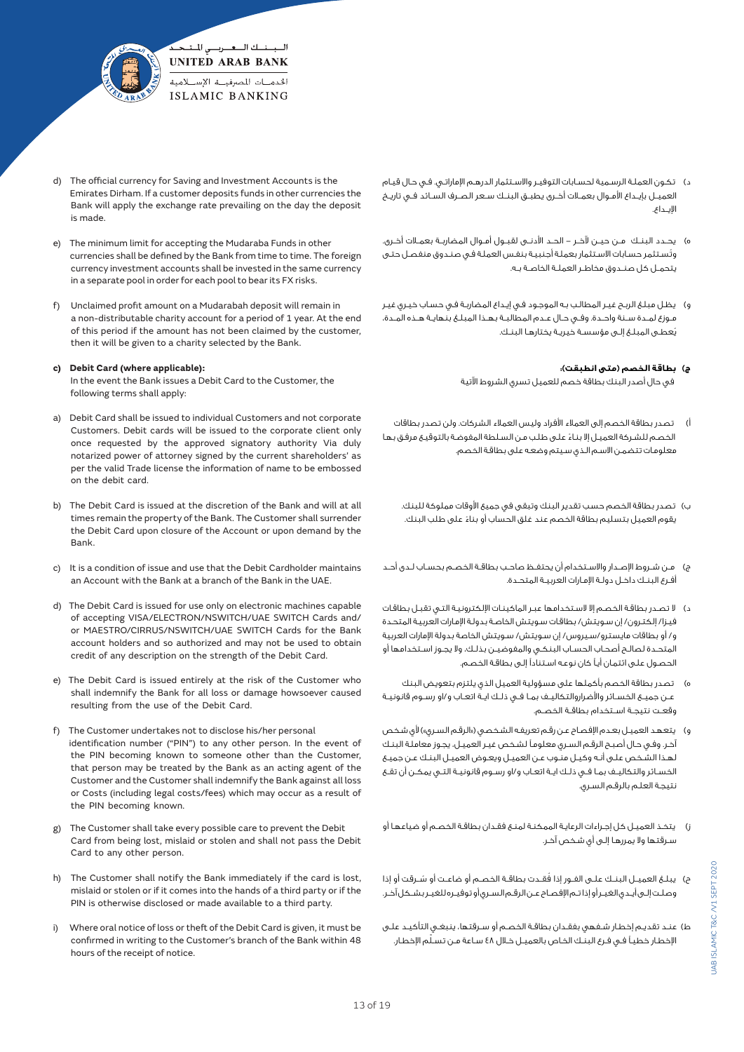

- d) The official currency for Saving and Investment Accounts is the Emirates Dirham. If a customer deposits funds in other currencies the Bank will apply the exchange rate prevailing on the day the deposit is made.
- e) The minimum limit for accepting the Mudaraba Funds in other currencies shall be defined by the Bank from time to time. The foreign currency investment accounts shall be invested in the same currency in a separate pool in order for each pool to bear its FX risks.
- f) Unclaimed profit amount on a Mudarabah deposit will remain in a non-distributable charity account for a period of 1 year. At the end of this period if the amount has not been claimed by the customer, then it will be given to a charity selected by the Bank.

#### **c) Debit Card (where applicable):**

 In the event the Bank issues a Debit Card to the Customer, the following terms shall apply:

- a) Debit Card shall be issued to individual Customers and not corporate Customers. Debit cards will be issued to the corporate client only once requested by the approved signatory authority Via duly notarized power of attorney signed by the current shareholders' as per the valid Trade license the information of name to be embossed on the debit card.
- b) The Debit Card is issued at the discretion of the Bank and will at all times remain the property of the Bank. The Customer shall surrender the Debit Card upon closure of the Account or upon demand by the Bank.
- c) It is a condition of issue and use that the Debit Cardholder maintains an Account with the Bank at a branch of the Bank in the UAE.
- d) The Debit Card is issued for use only on electronic machines capable of accepting VISA/ELECTRON/NSWITCH/UAE SWITCH Cards and/ or MAESTRO/CIRRUS/NSWITCH/UAE SWITCH Cards for the Bank account holders and so authorized and may not be used to obtain credit of any description on the strength of the Debit Card.
- e) The Debit Card is issued entirely at the risk of the Customer who shall indemnify the Bank for all loss or damage howsoever caused resulting from the use of the Debit Card.
- f) The Customer undertakes not to disclose his/her personal identification number ("PIN") to any other person. In the event of the PIN becoming known to someone other than the Customer, that person may be treated by the Bank as an acting agent of the Customer and the Customer shall indemnify the Bank against all loss or Costs (including legal costs/fees) which may occur as a result of the PIN becoming known.
- g) The Customer shall take every possible care to prevent the Debit Card from being lost, mislaid or stolen and shall not pass the Debit Card to any other person.
- h) The Customer shall notify the Bank immediately if the card is lost, mislaid or stolen or if it comes into the hands of a third party or if the PIN is otherwise disclosed or made available to a third party.
- i) Where oral notice of loss or theft of the Debit Card is given, it must be confirmed in writing to the Customer's branch of the Bank within 48 hours of the receipt of notice.
- د( تكـون العملـة الرسـمية لحسـابات التوفيـر واالسـتثمار الدرهـم اإلماراتـي. فـي حـال قيـام العميــل بإيــداع األمــوال بعمــات أخــرى يطبــق البنــك ســعر الصــرف الســائد فــي تاريــخ اإليــداع.
- ه) يحــدد البنــك مــن حيــن لآخـر الحــد الأدنــى لقبــول أمــوال المضاربــة بعمــلات أخــرى. ُوتسـتثمر حسـابات االسـتثمار بعملـة أجنبيـة بنفـس العملـة فـي صنـدوق منفصـل حتـى يتحمــل كل صنــدوق مخاطــر العملــة الخاصــة بــه.
- و( يظـل مبلـغ الربـح غيـر المطالـب بـه الموجـود فـي إيـداع المضاربـة فـي حسـاب خيـري غيـر مــوزع لمــدة ســنة واحــدة. وفــي حــال عــدم المطالبــة بهــذا المبلــغ بنهايــة هــذه المــدة، ُيعطـى المبلـغ إلـى مؤسسـة خيريـة يختارهـا البنـك.

## **ج( بطاقة الخصم )متى انطبقت(:**

في حال أصدر البنك بطاقة خصم للعميل تسري الشروط اآلتية

- أ) تصدر بطاقة الخصم إلى العملاء الأفراد وليس العملاء الشركات. ولن تصدر بطاقات ً الخصـم للشـركة العميـل إال بنـاء علـى طلـب مـن السـلطة المفوضـة بالتوقيـع مرفـق بهـا معلومـات تتضمـن االسـم الـذي سـيتم وضعـه على بطاقـة الخصم.
	- ب) تصدر بطاقة الخصم حسب تقدير البنك وتبقى في جميع الأوقات مملوكة للبنك. ً يقوم العميل بتسليم بطاقة الخصم عند غلق الحساب أو بناء على طلب البنك.
- ج) مـن شــروط الإصــدار والاسـتخدام أن يحتفـظ صاحـب بطاقـة الخصـم بحسـاب لـدى أحـد أفــرع البنــك داخــل دولــة اإلمــارات العربيــة المتحــدة.
- د( ال تصـدر بطاقـة الخصـم إال السـتخدامها عبـر الماكينـات اإللكترونيـة التـي تقبـل بطاقـات فيـزا/ إلكتـرون/ إن سـويتش/ بطاقـات سـويتش الخاصـة بدولـة اإلمـارات العربيـة المتحـدة و/ أو بطاقات مايسترو/سـيروس/ إن سـويتش/ سـويتش الخاصة بدولة اإلمارات العربية المتحــدة لصالــح أصحــاب الحســاب البنكــي والمفوضيــن بذلــك، وال يجــوز اســتخدامها أو الحصـول علـى ائتمـان أيـً كان نوعـه اسـتنادًا إلـى بطاقـة الخصـم.
- ه) تصدر بطاقة الخصم بأكملها على مسؤولية العميل الذي يلتزم بتعويض البنك عــن جميــع الخســائر واألضراروالتكاليــف بمــا فــي ذلــك ايــة اتعــاب و/او رســوم قانونيــة وقعــت نتيجــة اســتخدام بطاقــة الخصــم.
- و) يتعهـد العميـل بعـدم الإفصـاح عـن رقـم تعريفـه الشـخصي («الرقـم السـري») لأي شـخص آخـر. وفـي حـال أصبـح الرقـم السـري معلومـً لشـخص غيـر العميـل، يجـوز معاملـة البنـك لهـذا الشـخص علـى أنـه وكيـل منـوب عـن العميـل ويعـوض العميـل البنـك عـن جميـع الخســائر والتكاليــف بمــا فــي ذلــك ايــة اتعــاب و/او رســوم قانونيــة التــي يمكــن أن تقــع نتيجـة العلـم بالرقـم السـري.
- ز( يتخـذ العميـل كل إجـراءات الرعايـة الممكنـة لمنـع فقـدان بطاقـة الخصـم أو ضياعهـا أو سـرقتها وال يمررهـا إلـى أي شـخص آخـر.
- ح) يبلــغ العميــل البنــك علــى الفــور إذا فُقــدت بـطاقــة الخصــم أو ضاعــت أو سَــرقت أو إذا وصلــت إلــى أيــدي الغيــر أو إذا تــم اإلفصــاح عــن الرقــم الســري أو توفيــره للغيــر بشــكل آخــر.
- ط) عنـد تقديـم إخطـار شـفهي بفقـدان بطاقـة الخصـم أو سـرقتها، ينبغـي التأكيـد علـي اإلخطـار خطيـً فـي فـرع البنـك الخـاص بالعميـل خـال 48 ّ سـاعة مـن تسـلم اإلخطـار.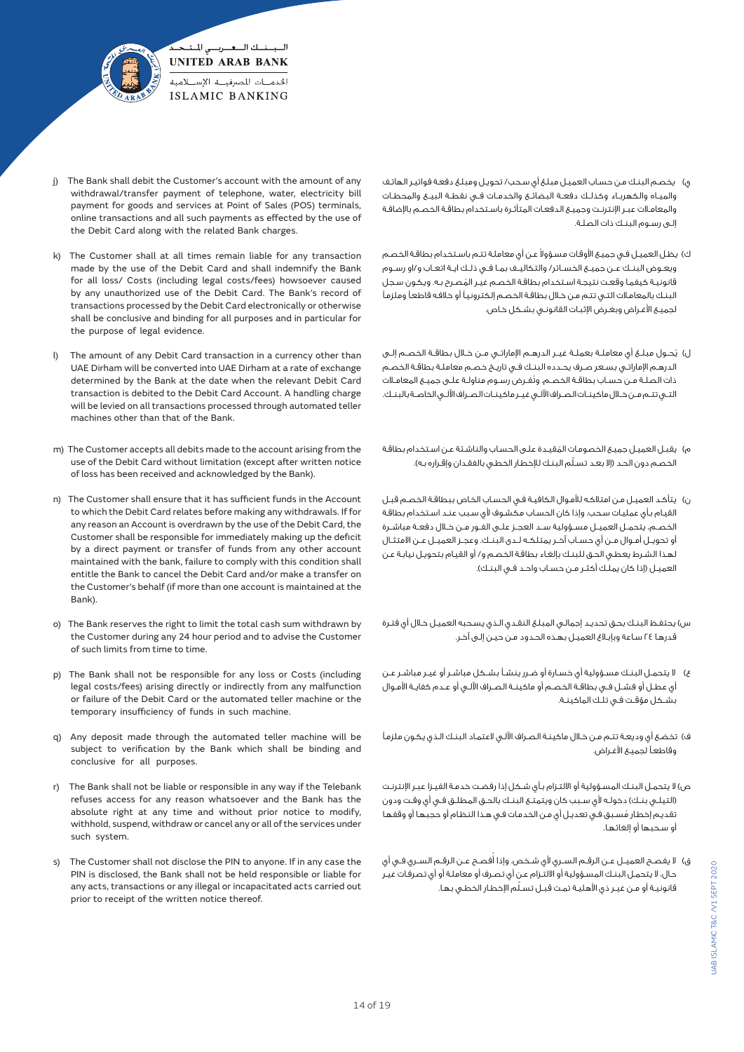

- j) The Bank shall debit the Customer's account with the amount of any withdrawal/transfer payment of telephone, water, electricity bill payment for goods and services at Point of Sales (POS) terminals, online transactions and all such payments as effected by the use of the Debit Card along with the related Bank charges.
- k) The Customer shall at all times remain liable for any transaction made by the use of the Debit Card and shall indemnify the Bank for all loss/ Costs (including legal costs/fees) howsoever caused by any unauthorized use of the Debit Card. The Bank's record of transactions processed by the Debit Card electronically or otherwise shall be conclusive and binding for all purposes and in particular for the purpose of legal evidence.
- l) The amount of any Debit Card transaction in a currency other than UAE Dirham will be converted into UAE Dirham at a rate of exchange determined by the Bank at the date when the relevant Debit Card transaction is debited to the Debit Card Account. A handling charge will be levied on all transactions processed through automated teller machines other than that of the Bank.
- m) The Customer accepts all debits made to the account arising from the use of the Debit Card without limitation (except after written notice of loss has been received and acknowledged by the Bank).
- n) The Customer shall ensure that it has sufficient funds in the Account to which the Debit Card relates before making any withdrawals. If for any reason an Account is overdrawn by the use of the Debit Card, the Customer shall be responsible for immediately making up the deficit by a direct payment or transfer of funds from any other account maintained with the bank, failure to comply with this condition shall entitle the Bank to cancel the Debit Card and/or make a transfer on the Customer's behalf (if more than one account is maintained at the Bank).
- o) The Bank reserves the right to limit the total cash sum withdrawn by the Customer during any 24 hour period and to advise the Customer of such limits from time to time.
- p) The Bank shall not be responsible for any loss or Costs (including legal costs/fees) arising directly or indirectly from any malfunction or failure of the Debit Card or the automated teller machine or the temporary insufficiency of funds in such machine.
- q) Any deposit made through the automated teller machine will be subject to verification by the Bank which shall be binding and conclusive for all purposes.
- r) The Bank shall not be liable or responsible in any way if the Telebank refuses access for any reason whatsoever and the Bank has the absolute right at any time and without prior notice to modify, withhold, suspend, withdraw or cancel any or all of the services under such system.
- s) The Customer shall not disclose the PIN to anyone. If in any case the PIN is disclosed, the Bank shall not be held responsible or liable for any acts, transactions or any illegal or incapacitated acts carried out prior to receipt of the written notice thereof.
- ي( يخصـم البنـك مـن حسـاب العميـل مبلـغ أي سـحب/ تحويـل ومبلـغ دفعـة فواتيـر الهاتـف والميـاه والكهربـاء وكذلـك دفعـة البضائـع والخدمـات فــى نقطـة البيــع والمحطـات والمعامـات عبـر اإلنترنـت وجميـع الدفعـات المتأثـرة باسـتخدام بطاقـة الخصـم باإلضافـة إلـى رسـوم البنـك ذات الصلـة.
- ى) يظـل العميـل فـي جميـع الأوقـات مسـؤولا عـن أي معاملـة تتـم باسـتخدام بطاقـة الخصـم ويعــوض البنــك عــن جميــع الخســائر/ والتكاليــف بمــا فــي ذلــك ايــة اتعــاب و/او رســوم ُ قانونيـة كيفمـا وقعـت نتيجـة اسـتخدام بطاقـة الخصـم غيـر المصـرح بـه. ويكـون سـجل البنـك بالمعامـات التـي تتـم مـن خـال بطاقـة الخصـم إلكترونيـً أو خالفـه قاطعـً وملزمـً لجميـع األغـراض وبغـرض اإلثبـات القانونـي بشـكل خـاص.
- ُ ل( يحــول مبلــغ أي معاملــة بعملــة غيــر الدرهــم اإلماراتــي مــن خــال بطاقــة الخصــم إلــى الدرهــم اإلماراتــي بســعر صــرف يحــدده البنــك فــي تاريــخ خصــم معاملــة بطاقــة الخصــم ُ ذات الصلــة مــن حســاب بطاقــة الخصــم. وتفــرض رســوم مناولــة علــى جميــع المعامــات التــي تتــم مــن خــال ماكينــات الصــراف اآللــي غيــر ماكينــات الصــراف اآللــي الخاصــة بالبنــك.
- م) يقبـل العميـل جميـع الخصومـات المُقيـدة علـى الحسـاب والناشـئة عـن اسـتخدام بطاقـة الخصـم دون الحـد (إلا بعـد تسـلّم البنـك للإخطـار الخطـى بالفقـدان وإقـراره بـه).
- ن) يتأكـد العميـل مـن امتلاكـه للأمـوال الكافيـة فـي الحسـاب الخـاص ببطاقـة الخصـم قبـل القيـام بـأي عمليـات سـحب. وإذا كان الحسـاب مكشـوف ألي سـبب عنـد اسـتخدام بطاقـة الخصــم، يتحمــل العميــل مســؤولية ســد العجــز علــى الفــور مــن خــال دفعــة مباشــرة أو تحويــل أمــوال مــن أي حســاب آخــر يمتلكــه لــدى البنــك. وعجــز العميــل عــن االمتثــال لهـذا الشـرط يعطـي الحـق للبنـك بإلغـاء بطاقـة الخصـم و/ أو القيـام بتحويـل نيابـة عـن العميـل (إذا كان يملـك أكثـر مـن حسـاب واحـد فـى البنـك).
- س) يحتفـظ البنـك بحـق تحديـد إجمالـى المبلـغ النقـدى الـذي يسـحبه العميـل خـلال أي فتـرة قدرهـا 24 سـاعة وبإبـاغ العميـل بهـذه الحـدود مـن حيـن إلـى آخـر.
- ع) لا يتحمــل البنــك مســؤولية أي خسـارة أو ضــرر ينشــأ بشـكل مباشـر عـن الله عــر مباشــر عـن أي عطــل أو فشــل فــي بطاقــة الخصــم أو ماكينــة الصــراف اآللــي أو عــدم كفايــة األمــوال بشـكل مؤقـت فـي تلـك الماكينـة.
- ف) تخضـع أي وديعـة تتـم مـن خـلال ماكينـة الـصـراف الآلـي لاعتمـاد البنـك الـذي يكـون ملزمـاً وقاطعـً لجميـع األغـراض.
- ص) لا يتحمـل البنـك المسـؤولية أو الالتـزام بـأي شـكل إذا رفضـت خدمـة الفيـزا عبـر الإنترنـت (التيلــي بنــك) دخولـه لأي سـبب كان ويتمتـع البنــك بالحـق المطلـق فـي أي وقـت ودون ُ تقديـم إخطـار مسـبق فـي تعديـل أي مـن الخدمـات فـي هـذا النظـام أو حجبهـا أو وقفهـا أو سـحبها أو إلغائهـا.
- ق) لا يفصـح العميــل عــن الرقـم الســري لأي شـخص. وإذا أفصـح عــن الرقـم الســري فــي أي حـال، ال يتحمـل البنـك المسـؤولية أو االلتـزام عـن أي تصـرف أو معاملـة أو أي تصرفـات غيـر ّ قانونيـة أو مـن غيـر ذي األهليـة تمـت قبـل تسـلم اإلخطـار الخطـي بهـا.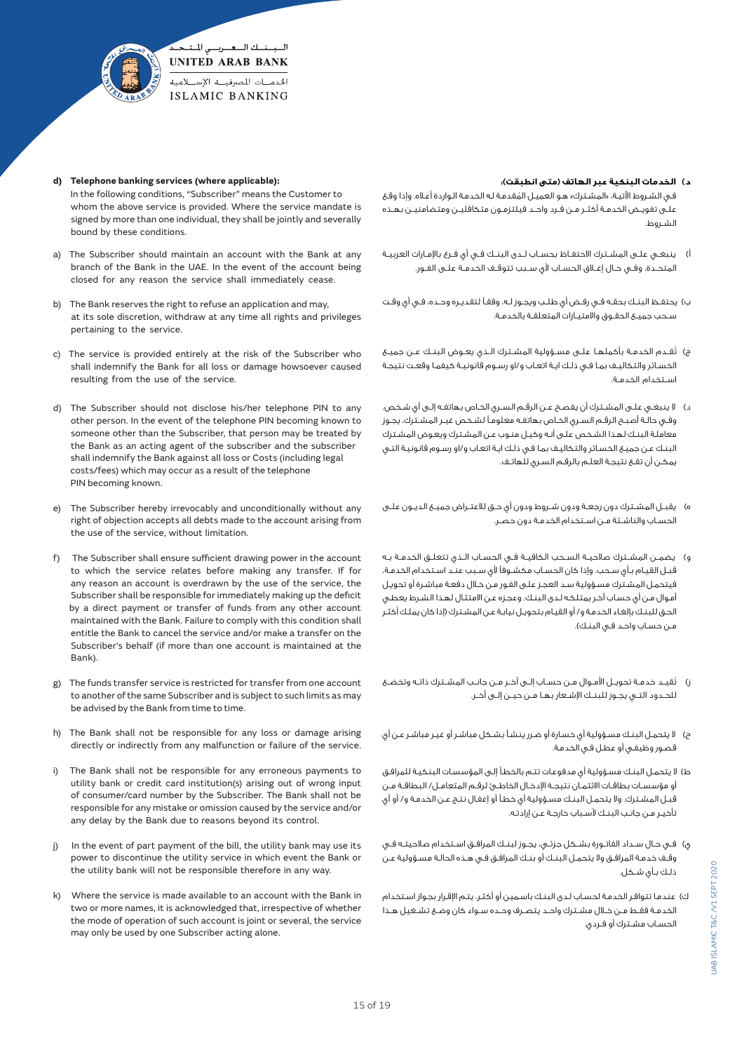

- **d) Telephone banking services (where applicable):** In the following conditions, "Subscriber" means the Customer to whom the above service is provided. Where the service mandate is signed by more than one individual, they shall be jointly and severally bound by these conditions.
- a) The Subscriber should maintain an account with the Bank at any branch of the Bank in the UAE. In the event of the account being closed for any reason the service shall immediately cease.
- b) The Bank reserves the right to refuse an application and may, at its sole discretion, withdraw at any time all rights and privileges pertaining to the service.
- c) The service is provided entirely at the risk of the Subscriber who shall indemnify the Bank for all loss or damage howsoever caused resulting from the use of the service.
- d) The Subscriber should not disclose his/her telephone PIN to any other person. In the event of the telephone PIN becoming known to someone other than the Subscriber, that person may be treated by the Bank as an acting agent of the subscriber and the subscriber shall indemnify the Bank against all loss or Costs (including legal costs/fees) which may occur as a result of the telephone PIN becoming known.
- e) The Subscriber hereby irrevocably and unconditionally without any right of objection accepts all debts made to the account arising from the use of the service, without limitation.
- f) The Subscriber shall ensure sufficient drawing power in the account to which the service relates before making any transfer. If for any reason an account is overdrawn by the use of the service, the Subscriber shall be responsible for immediately making up the deficit by a direct payment or transfer of funds from any other account maintained with the Bank. Failure to comply with this condition shall entitle the Bank to cancel the service and/or make a transfer on the Subscriber's behalf (if more than one account is maintained at the Bank).
- g) The funds transfer service is restricted for transfer from one account to another of the same Subscriber and is subject to such limits as may be advised by the Bank from time to time.
- h) The Bank shall not be responsible for any loss or damage arising directly or indirectly from any malfunction or failure of the service.
- The Bank shall not be responsible for any erroneous payments to utility bank or credit card institution(s) arising out of wrong input of consumer/card number by the Subscriber. The Bank shall not be responsible for any mistake or omission caused by the service and/or any delay by the Bank due to reasons beyond its control.
- j) In the event of part payment of the bill, the utility bank may use its power to discontinue the utility service in which event the Bank or the utility bank will not be responsible therefore in any way.
- k) Where the service is made available to an account with the Bank in two or more names, it is acknowledged that, irrespective of whether the mode of operation of such account is joint or several, the service may only be used by one Subscriber acting alone.

# **د( الخدمات البنكية عبر الهاتف )متى انطبقت(:**

فـي الشـروط الآتيـة، «المشـترك» هـو العميـل المُقدمـة لـه الخدمـة الـواردة أعـلاه. وإذا وقـع علــى تفويــض الخدمــة أكثــر مــن فــرد واحــد فيلتزمــون متكافليــن ومتضامنيــن بهــذه الشـروط.

- أ) ينبغــى علــى المشــترك الاحتفــاظ بحســاب لــدى البنــك فــى أي فــرع بالإمــارات العربيــة المتحــدة. وفــي حــال إغــاق الحســاب ألي ســبب تتوقــف الخدمــة علــى الفــور.
- ب( يحتفــظ البنــك بحقــه فــي رفــض أي طلــب ويجــوز لــه، وفقــً لتقديــره وحــده، فــي أي وقــت ســحب جميــع الحقــوق واالمتيــازات المتعلقــة بالخدمــة.
- ج) تُقــدم الخدمــة بأكملهــا علــى مســؤولية المشــترك الــذي يعــوض البنــك عــن جميــع الخسـائر والتكاليـف بمـا فـي ذلـك ايـة اتعـاب و/او رسـوم قانونيـة كيفمـا وقعـت نتيجـة اســتخدام الخدمــة.
- د( ال ينبغــي علــى المشــترك أن يفصــح عــن الرقــم الســري الخــاص بهاتفــه إلــى أي شــخص. وفـي حالـة أصبـح الرقـم السـري الخـاص بهاتفـه معلومـً لشـخص غيـر المشـترك، يجـوز معاملـة البنـك لهـذا الشـخص علـى أنـه وكيـل منـوب عـن المشـترك ويعـوض المشـترك البنـك عـن جميـع الخسـائر والتكاليـف بمـا فـي ذلـك ايـة اتعـاب و/او رسـوم قانونيـة التـي يمكـن أن تقـع نتيجـة العلـم بالرقـم السـري للهاتـف.
- ه) يقبــل المشـترك دون رجعـة ودون شــروط ودون أي حــق للاعتــراض جميــع الديــون علــى الحســاب والناشــئة مــن اســتخدام الخدمــة دون حصــر.
- و( يضمــن المشــترك صالحيــة الســحب الكافيــة فــي الحســاب الــذي تتعلــق الخدمــة بــه قبـل القيـام بـأي سـحب. وإذا كان الحسـاب مكشـوفًا ألي سـبب عنـد اسـتخدام الخدمـة، فيتحمـل المشـترك مسـؤولية سـد العجـز علـى الفـور مـن خـال دفعـة مباشـرة أو تحويـل أمـوال مـن أي حسـاب آخـر يمتلكـه لـدى البنـك. وعجـزه عـن االمتثـال لهـذا الشـرط يعطـي الحـق للبنـك بإلغـاء الخدمـة و/ أو القيـام بتحويـل نيابـة عـن المشـترك )إذا كان يملـك أكثـر مـن حسـاب واحـد فـي البنـك(.
- ُ ز( تقيــد خدمــة تحويــل األمــوال مــن حســاب إلــى آخــر مــن جانــب المشــترك ذاتــه وتخضــع للحــدود التــي يجــوز للبنــك اإلشــعار بهــا مــن حيــن إلــى آخــر.
- ح) لا يتحمـل البنـك مسـؤولية أي خسـارة أو ضـرر ينشـأ بشـكل مباشـر أو غيـر مباشـر عـن أي قصـور وظيفـي أو عطـل فـي الخدمـة.
- ط) لا يتحمـل البنـك مسـؤولية أي مدفوعـات تتـم بالخطـأ إلـى المؤسسات البنكيـة للمرافـق أو مؤسســات بطاقــات االئتمــان نتيجــة اإلدخــال الخاطــئ لرقــم المتعامــل/ البطاقــة مــن قبـل المشـترك. وال يتحمـل البنـك مسـؤولية أي خطـأ أو إغفـال نتـج عـن الخدمـة و/ أو أي تأخيـر مـن جانـب البنـك ألسـباب خارجـة عـن إرادتـه.
- ى) فــي حــال ســداد الفاتــورة بشــكل جزئــي، يجــوز لبنــك المرافــق اســتخدام صلاحيتــه فــي وقـف خدمـة المرافـق وال يتحمـل البنـك أو بنـك المرافـق فـي هـذه الحالـة مسـؤولية عـن ذلـك بـأي شـكل.
- ك( عندمـا تتوافـر الخدمـة لحسـاب لـدى البنـك باسـمين أو أكثـر، يتـم اإلقـرار بجـواز اسـتخدام الخدمــة فقــط مــن خــال مشــترك واحــد يتصــرف وحــده ســواء كان وضــع تشــغيل هــذا الحســاب مشــترك أو فــردي.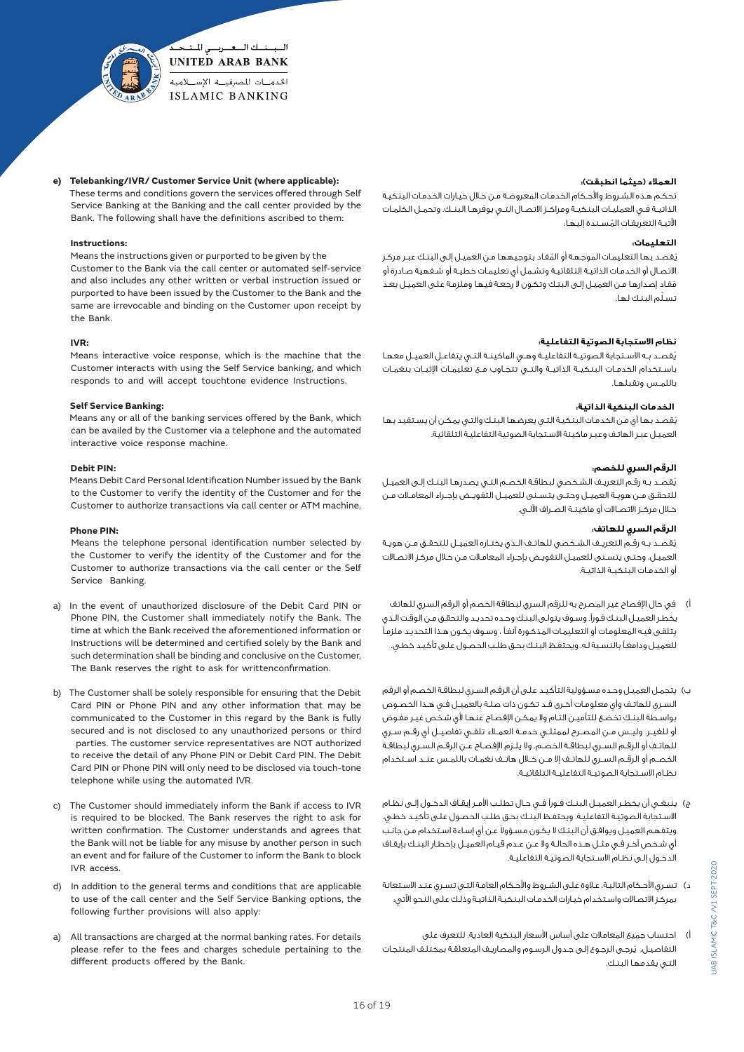

**e) Telebanking/IVR/ Customer Service Unit (where applicable):** These terms and conditions govern the services offered through Self

Service Banking at the Banking and the call center provided by the Bank. The following shall have the definitions ascribed to them:

# **Instructions:**

 Means the instructions given or purported to be given by the Customer to the Bank via the call center or automated self-service and also includes any other written or verbal instruction issued or purported to have been issued by the Customer to the Bank and the same are irrevocable and binding on the Customer upon receipt by the Bank.

#### **IVR:**

 Means interactive voice response, which is the machine that the Customer interacts with using the Self Service banking, and which responds to and will accept touchtone evidence Instructions.

#### **Self Service Banking:**

Means any or all of the banking services offered by the Bank, which can be availed by the Customer via a telephone and the automated interactive voice response machine.

#### **Debit PIN:**

 Means Debit Card Personal Identification Number issued by the Bank to the Customer to verify the identity of the Customer and for the Customer to authorize transactions via call center or ATM machine.

#### **Phone PIN:**

 Means the telephone personal identification number selected by the Customer to verify the identity of the Customer and for the Customer to authorize transactions via the call center or the Self Service Banking.

- a) In the event of unauthorized disclosure of the Debit Card PIN or Phone PIN, the Customer shall immediately notify the Bank. The time at which the Bank received the aforementioned information or Instructions will be determined and certified solely by the Bank and such determination shall be binding and conclusive on the Customer. The Bank reserves the right to ask for writtenconfirmation.
- b) The Customer shall be solely responsible for ensuring that the Debit Card PIN or Phone PIN and any other information that may be communicated to the Customer in this regard by the Bank is fully secured and is not disclosed to any unauthorized persons or third parties. The customer service representatives are NOT authorized to receive the detail of any Phone PIN or Debit Card PIN. The Debit Card PIN or Phone PIN will only need to be disclosed via touch-tone telephone while using the automated IVR.
- c) The Customer should immediately inform the Bank if access to IVR is required to be blocked. The Bank reserves the right to ask for written confirmation. The Customer understands and agrees that the Bank will not be liable for any misuse by another person in such an event and for failure of the Customer to inform the Bank to block IVR access.
- d) In addition to the general terms and conditions that are applicable to use of the call center and the Self Service Banking options, the following further provisions will also apply:
- a) All transactions are charged at the normal banking rates. For details please refer to the fees and charges schedule pertaining to the different products offered by the Bank.

#### **العمالء )حيثما انطبقت(:**

تحكـم هـذه الشـروط والأحـكام الخدمات المعروضـة مـن خـلال خيـارات الخدمات البنكيـة الذاتيــة فــي العمليــات البنكيــة ومراكــز االتصــال التــي يوفرهــا البنــك. وتحمــل الكلمــات ُ اآلتيـة التعريفـات المسـندة إليهـا:

#### **التعليمات:**

ُ ي ُ قصـد بهـا التعليمـات الموجهـة أو المفـاد بتوجيههـا مـن العميـل إلـى البنـك عبـر مركـز االتصـال أو الخدمـات الذاتيـة التلقائيـة وتشـمل أي تعليمـات خطيـة أو شـفهية صـادرة أو ُمفـاد إصدارهـا مـن العميـل إلـى البنـك وتكـون ال رجعـة فيهـا وملزمـة علـى العميـل بعـد ّ تسـلم البنـك لهـا.

#### **نظام االستجابة الصوتية التفاعلية:**

ُ يقصــد بــه االســتجابة الصوتيــة التفاعليــة وهــي الماكينــة التــي يتفاعــل العميــل معهــا باســتخدام الخدمــات البنكيــة الذاتيــة والتــي تتجــاوب مــع تعليمــات اإلثبــات بنغمــات باللمــس وتقبلهــا.

## **الخدمات البنكية الذاتية:**

ُ يقصـد بهـا أي مـن الخدمـات البنكيـة التـي يعرضهـا البنـك والتـي يمكـن أن يسـتفيد بهـا العميـل عبـر الهاتـف وعبـر ماكينة االسـتجابة الصوتية التفاعليـة التلقائية.

#### **الرقم السري للخصم:**

ُ يقصـد بـه رقـم التعريـف الشـخصي لبطاقـة الخصـم التـي يصدرهـا البنـك إلـى العميـل للتحقــق مــن هويــة العميــل وحتــى يتســنى للعميــل التفويــض بإجــراء المعامــات مــن خــال مركــز االتصــاالت أو ماكينــة الصــراف اآللــي.

# **الرقم السري للهاتف:**

ُيقصــد بــه رقــم التعريــف الشــخصي للهاتــف الــذي يختــاره العميــل للتحقــق مــن هويــة العميـل، وحتـى يتسـنى للعميـل التفويـض بإجـراء المعامـات مـن خـال مركـز االتصـاالت أو الخدمــات البنكيــة الذاتيــة.

- أ) في حال الإفصاح غير المصرح به للرقم السري لبطاقة الخصم أو الرقم السري للهاتف يخطـر العميـل البنـك فـورًا. وسـوف يتولـى البنـك وحـده تحديـد والتحقـق مـن الوقـت الـذي يتلقـى فيـه المعلومـات أو التعليمـات المذكـورة آنفـً ، وسـوف يكـون هـذا التحديـد ملزمـً للعميـل ودامغـً بالنسـبة لـه. ويحتفـظ البنـك بحـق طلـب الحصـول علـى تأكيـد خطـي.
- ب) يتحمـل العميـل وحـده مسـؤولية التأكيـد علـى أن الرقـم السـرى لبطاقـة الخصـم أو الرقم السـري للهاتـف وأي معلومـات أخـرى قـد تكـون ذات صلـة بالعميـل فـي هـذا الخصـوص بواسـطة البنـك تخضـع للتأميـن التـام وال يمكـن اإلفصـاح عنهـا ألي شـخص غيـر مفـوض أو للغيــر. وليــس مــن المصــرح لممثلــي خدمــة العمــاء تلقــي تفاصيــل أي رقــم ســري للهاتــف أو الرقــم الســري لبطاقــة الخصــم. وال يلــزم اإلفصــاح عــن الرقــم الســري لبطاقــة الخصــم أو الرقــم الســري للهاتــف إال مــن خــال هاتــف نغمــات باللمــس عنــد اســتخدام نظــام االســتجابة الصوتيــة التفاعليــة التلقائيــة.
- ج) ينبغــو، أن يخطـر العميــل البنــك فــوراً فــي حـال تطلـب الأمـر إيقـاف الدخــول إلــي نظـام االسـتجابة الصوتيـة التفاعليـة. ويحتفـظ البنـك بحـق طلـب الحصـول علـى تأكيـد خطـي. ويتغهم العميـل ويوافـق أن البنـك لا يكـون مسـؤولا عـن أي إسـاءة اسـتخدام مـن جانـب أي شـخص آخـر فـي مثـل هـذه الحالـة وال عـن عـدم قيـام العميـل بإخطـار البنـك بإيقـاف الدخـول إلـى نظـام االسـتجابة الصوتيـة التفاعليـة.
- د) تسـرى الأحـكام التاليـة، عـلاوة علـى الشـروط والأحـكام العامـة التـى تسـرى عنـد الاسـتعانة بمركـز االتصـاالت واسـتخدام خيـارات الخدمـات البنكيـة الذاتيـة وذلـك علـى النحو اآلتي:
- أ) احتساب جميع المعاملات على أساس الأسعار البنكية العادية. للتعرف على ُ التفاصيـل، يرجـى الرجـوع إلـى جـدول الرسـوم والمصاريـف المتعلقـة بمختلـف المنتجـات التـي يقدمهـا البنـك.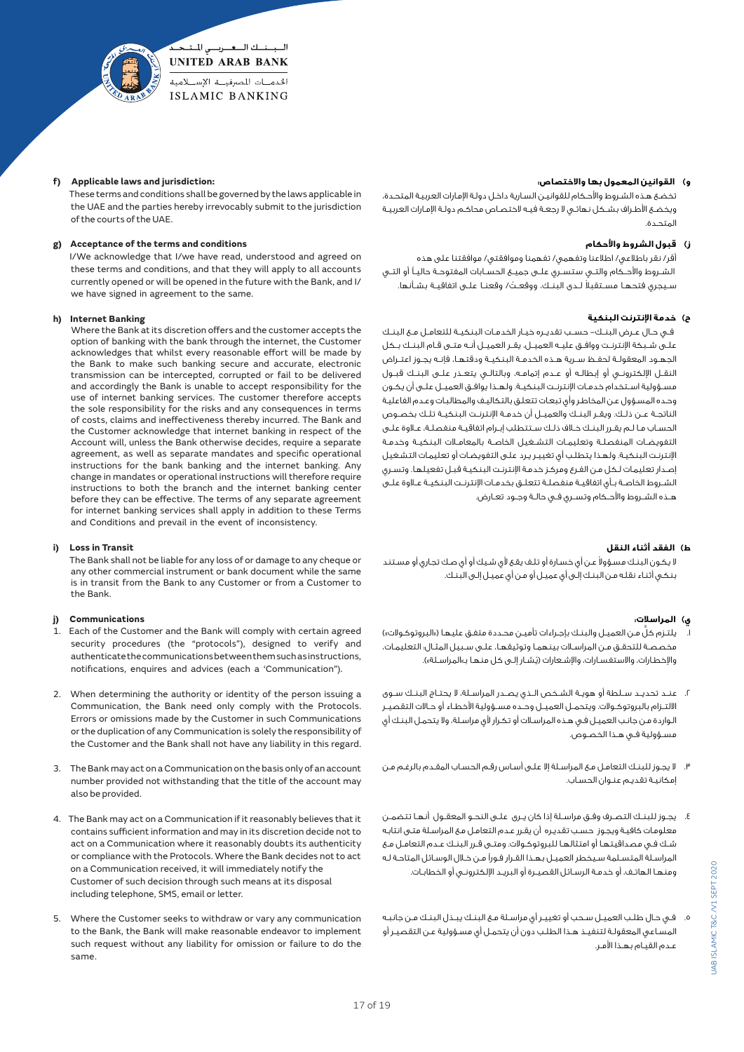

#### **f) Applicable laws and jurisdiction:**

 These terms and conditions shall be governed by the laws applicable in the UAE and the parties hereby irrevocably submit to the jurisdiction of the courts of the UAE.

# **g) Acceptance of the terms and conditions**

 I/We acknowledge that I/we have read, understood and agreed on these terms and conditions, and that they will apply to all accounts currently opened or will be opened in the future with the Bank, and I/ we have signed in agreement to the same.

#### **h) Internet Banking**

 Where the Bank at its discretion offers and the customer accepts the option of banking with the bank through the internet, the Customer acknowledges that whilst every reasonable effort will be made by the Bank to make such banking secure and accurate, electronic transmission can be intercepted, corrupted or fail to be delivered and accordingly the Bank is unable to accept responsibility for the use of internet banking services. The customer therefore accepts the sole responsibility for the risks and any consequences in terms of costs, claims and ineffectiveness thereby incurred. The Bank and the Customer acknowledge that internet banking in respect of the Account will, unless the Bank otherwise decides, require a separate agreement, as well as separate mandates and specific operational instructions for the bank banking and the internet banking. Any change in mandates or operational instructions will therefore require instructions to both the branch and the internet banking center before they can be effective. The terms of any separate agreement for internet banking services shall apply in addition to these Terms and Conditions and prevail in the event of inconsistency.

#### **i) Loss in Transit**

 The Bank shall not be liable for any loss of or damage to any cheque or any other commercial instrument or bank document while the same is in transit from the Bank to any Customer or from a Customer to the Bank.

#### **j) Communications**

- 1. Each of the Customer and the Bank will comply with certain agreed security procedures (the "protocols"), designed to verify and authenticate the communications between them such as instructions, notifications, enquires and advices (each a 'Communication").
- 2. When determining the authority or identity of the person issuing a Communication, the Bank need only comply with the Protocols. Errors or omissions made by the Customer in such Communications or the duplication of any Communication is solely the responsibility of the Customer and the Bank shall not have any liability in this regard.
- 3. The Bank may act on a Communication on the basis only of an account number provided not withstanding that the title of the account may also be provided.
- 4. The Bank may act on a Communication if it reasonably believes that it contains sufficient information and may in its discretion decide not to act on a Communication where it reasonably doubts its authenticity or compliance with the Protocols. Where the Bank decides not to act on a Communication received, it will immediately notify the Customer of such decision through such means at its disposal including telephone, SMS, email or letter.
- 5. Where the Customer seeks to withdraw or vary any communication to the Bank, the Bank will make reasonable endeavor to implement such request without any liability for omission or failure to do the same.

#### **و( القوانين المعمول بها واالختصاص:**

 تخضـع هـذه الشـروط واألحـكام للقوانيـن السـارية داخـل دولـة اإلمـارات العربيـة المتحـدة، ويخضـع األطـراف بشـكل نهائـي ال رجعـة فيـه الختصـاص محاكـم دولـة اإلمـارات العربيـة المتحـدة.

## **ز( قبول الشروط واألحكام**

 أقر/ نقر باطالعي/ اطالعنا وتفهمي/ تفهمنا وموافقتي/ موافقتنا على هذه الشــروط واألحــكام والتــي ستســري علــى جميــع الحســابات المفتوحــة حاليــً أو التــي سـيجري فتحهـا مسـتقبلاً لــدى البنــك، ووقعــتُ/ وقعنـا علــى اتفاقيــة بشـأنـها.

#### **ح( خدمة اإلنترنت البنكية**

 فــي حــال عــرض البنــك- حســب تقديــره خيــار الخدمــات البنكيــة للتعامــل مــع البنــك علــى شــبكة اإلنترنــت ووافــق عليــه العميــل، يقــر العميــل أنــه متــى قــام البنــك بــكل الجهــود المعقولــة لحفــظ ســرية هــذه الخدمــة البنكيــة ودقتهــا، فإنــه يجــوز اعتــراض النقــل اإللكترونــي أو إبطالــه أو عــدم إتمامــه، وبالتالــي يتعــذر علــى البنــك قبــول مســؤولية اســتخدام خدمــات اإلنترنــت البنكيــة. ولهــذا يوافــق العميــل علــى أن يكــون وحـده المسـؤول عـن المخاطـر وأي تبعـات تتعلـق بالتكاليـف والمطالبـات وعـدم الفاعليـة الناتجــة عــن ذلــك. ويقــر البنــك والعميــل أن خدمــة اإلنترنــت البنكيــة تلــك بخصــوص الحســاب مــا لــم يقــرر البنــك خــاف ذلــك ســتتطلب إبــرام اتفاقيــة منفصلــة، عــاوة علــى التفويضــات المنفصلــة وتعليمــات التشــغيل الخاصــة بالمعامــات البنكيــة وخدمــة اإلنترنـت البنكيـة. ولهـذا يتطلـب أي تغييـر يـرد علـى التفويضـات أو تعليمـات التشـغيل إصـدار تعليمـات لـكل مـن الفـرع ومركـز خدمـة اإلنترنـت البنكيـة قبـل تفعيلهـا. وتسـري الشــروط الخاصــة بــأي اتفاقيــة منفصلــة تتعلــق بخدمــات اإلنترنــت البنكيــة عــاوة علــى هــذه الشــروط واألحــكام وتســري فــي حالــة وجــود تعــارض.

#### **ط( الفقد أثناء النقل**

لا يكون البنـك مسـؤولا عـن أي خسـارة أو تلـف يقـع لأي شـيك أو أي صـك تجاري أو مسـتند بنكـي أثنـاء نقلـه مـن البنـك إلـى أي عميـل أو مـن أي عميـل إلـى البنـك.

## **ي( المراسالت:**

- يلتـزم كلَّ مـن العميـل والبنـك بإجـراءات تأميـن محـددة متفـق عليهـا («البروتوكـولات») مخصصــة للتحقــق مــن المراســات بينهمــا وتوثيقهــا، علــى ســبيل المثــال: التعليمــات، ُ واإلخطـارات، واالستفسـارات، واإلشـعارات )يشـار إلـى كل منهـا بـ«المراسـلة«(.
- .2 عنــد تحديــد ســلطة أو هويــة الشــخص الــذي يصــدر المراســلة، ال يحتــاج البنــك ســوى االلتــزام بالبروتوكــوالت. ويتحمــل العميــل وحــده مســؤولية األخطــاء أو حــاالت التقصيــر الـواردة مـن جانـب العميـل فـي هـذه المراسـات أو تكـرار ألي مراسـلة، وال يتحمـل البنـك أي مســؤولية فــي هــذا الخصــوص.
- .3 ال يجـوز للبنـك التعامـل مـع المراسـلة إال علـى أسـاس رقـم الحسـاب المقـدم بالرغـم مـن إمكانيـة تقديـم عنـوان الحسـاب.
- .4 يجــوز للبنــك التصــرف وفــق مراســلة إذا كان يــرى علــى النحــو المعقــول أنهــا تتضمــن معلومـات كافيـة ويجـوز حسـب تقديـره أن يقـرر عـدم التعامـل مـع المراسـلة متـى انتابـه شــك فــي مصداقيتهــا أو امتثالهــا للبروتوكــوالت. ومتــى قــرر البنــك عــدم التعامــل مــع المراسـلة المتسـلمة سـيخطر العميـل بهـذا القـرار فـورًا مـن خـال الوسـائل المتاحـة لـه ومنهــا الهاتــف، أو خدمــة الرســائل القصيــرة أو البريــد اإللكترونــي أو الخطابــات.
- .5 فـي حـال طلـب العميـل سـحب أو تغييـر أي مراسـلة مـع البنـك يبـذل البنـك مـن جانبـه المسـاعي المعقولـة لتنفيـذ هـذا الطلـب دون أن يتحمـل أي مسـؤولية عـن التقصيـر أو عـدم القيـام بهـذا األمـر.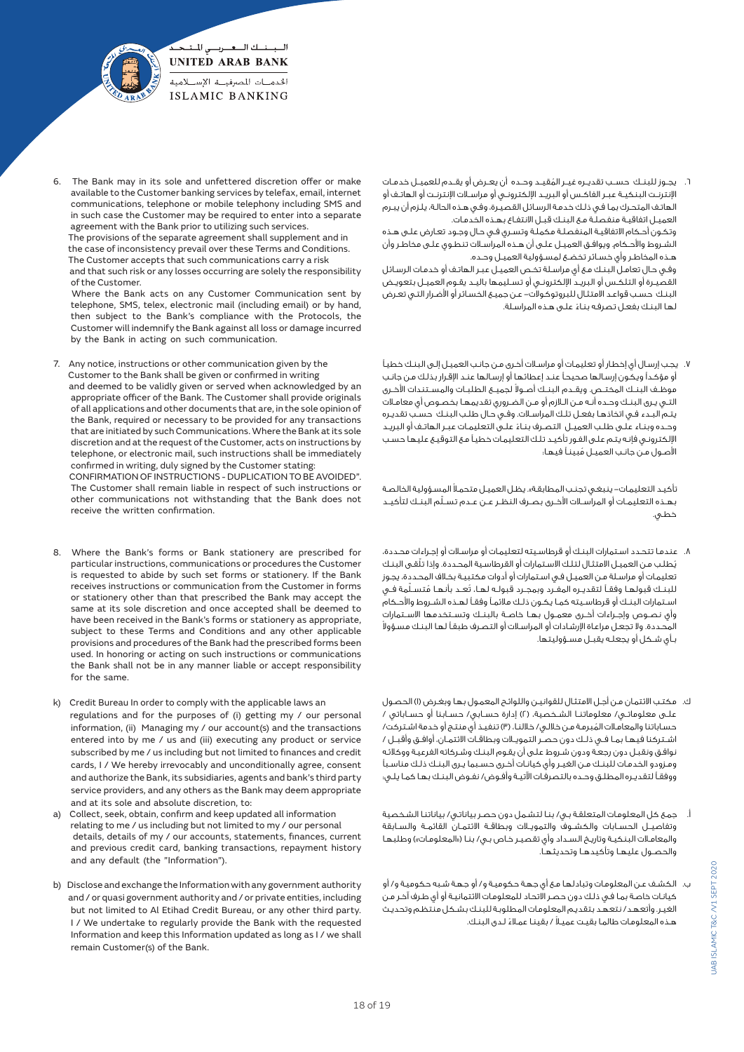

The Bank may in its sole and unfettered discretion offer or make available to the Customer banking services by telefax, email, internet communications, telephone or mobile telephony including SMS and in such case the Customer may be required to enter into a separate agreement with the Bank prior to utilizing such services.

 The provisions of the separate agreement shall supplement and in the case of inconsistency prevail over these Terms and Conditions. The Customer accepts that such communications carry a risk and that such risk or any losses occurring are solely the responsibility of the Customer.

 Where the Bank acts on any Customer Communication sent by telephone, SMS, telex, electronic mail (including email) or by hand, then subject to the Bank's compliance with the Protocols, the Customer will indemnify the Bank against all loss or damage incurred by the Bank in acting on such communication.

7. Any notice, instructions or other communication given by the Customer to the Bank shall be given or confirmed in writing and deemed to be validly given or served when acknowledged by an appropriate officer of the Bank. The Customer shall provide originals of all applications and other documents that are, in the sole opinion of the Bank, required or necessary to be provided for any transactions that are initiated by such Communications. Where the Bank at its sole discretion and at the request of the Customer, acts on instructions by telephone, or electronic mail, such instructions shall be immediately confirmed in writing, duly signed by the Customer stating: CONFIRMATION OF INSTRUCTIONS - DUPLICATION TO BE AVOIDED". The Customer shall remain liable in respect of such instructions or other communications not withstanding that the Bank does not

receive the written confirmation.

- 8. Where the Bank's forms or Bank stationery are prescribed for particular instructions, communications or procedures the Customer is requested to abide by such set forms or stationery. If the Bank receives instructions or communication from the Customer in forms or stationery other than that prescribed the Bank may accept the same at its sole discretion and once accepted shall be deemed to have been received in the Bank's forms or stationery as appropriate, subject to these Terms and Conditions and any other applicable provisions and procedures of the Bank had the prescribed forms been used. In honoring or acting on such instructions or communications the Bank shall not be in any manner liable or accept responsibility for the same.
- k) Credit Bureau In order to comply with the applicable laws an regulations and for the purposes of (i) getting my / our personal information, (ii) Managing my / our account(s) and the transactions entered into by me / us and (iii) executing any product or service subscribed by me / us including but not limited to finances and credit cards, I / We hereby irrevocably and unconditionally agree, consent and authorize the Bank, its subsidiaries, agents and bank's third party service providers, and any others as the Bank may deem appropriate and at its sole and absolute discretion, to:
- a) Collect, seek, obtain, confirm and keep updated all information relating to me / us including but not limited to my / our personal details, details of my / our accounts, statements, finances, current and previous credit card, banking transactions, repayment history and any default (the "Information").
- b) Disclose and exchange the Information with any government authority and / or quasi government authority and / or private entities, including but not limited to Al Etihad Credit Bureau, or any other third party. I / We undertake to regularly provide the Bank with the requested Information and keep this Information updated as long as I / we shall remain Customer(s) of the Bank.

6 ُ . يجــوز للبنــك حســب تقديــره غيــر المقيــد وحــده أن يعــرض أو يقــدم للعميــل خدمــات اإلنترنــت البنكيــة عبــر الفاكــس أو البريــد اإللكترونــي أو مراســات اإلنترنــت أو الهاتــف أو الهاتـف المتحـرك بمـا فـي ذلـك خدمـة الرسـائل القصيـرة، وفـي هـذه الحالـة، يلـزم أن يبـرم العميـل اتفاقيـة منفصلـة مـع البنـك قبـل االنتفـاع بهـذه الخدمـات. وتكـون أحـكام االتفاقيـة المنفصلـة مكملـة وتسـري فـي حـال وجـود تعـارض علـى هـذه الشـروط واألحـكام. ويوافـق العميـل علـى أن هـذه المراسـات تنطـوي علـى مخاطـر وأن هـذه المخاطـر وأي خسـائر تخضـع لمسـؤولية العميـل وحـده. وفـي حـال تعامـل البنـك مـع أي مراسـلة تخـص العميـل عبـر الهاتـف أو خدمـات الرسـائل القصيـرة أو التلكـس أو البريـد اإللكترونـي أو تسـليمها باليـد يقـوم العميـل بتعويـض البنـك حسـب قواعـد االمتثـال للبروتوكـوالت- عـن جميـع الخسـائر أو األضـرار التـي تعـرض

ً لهـا البنـك بفعـل تصرفـه بنـاء علـى هـذه المراسـلة.

.7 يجـب إرسـال أي إخطـار أو تعليمـات أو مراسـات أخـرى مـن جانـب العميـل إلـى البنـك خطيـً أو مؤكـدًا ويكـون إرسـالها صحيحـً عنـد إعطائهـا أو إرسـالها عنـد اإلقـرار بذلـك مـن جانـب عوظـف البنــك المختــص. ويقــدم البنــك أصــولا لجميــع الـطلبــات والمســتنـدات الأخــرى التـي يـرى البنـك وحـده أنـه مـن الـازم أو مـن الضـروري تقديمهـا بخصـوص أي معامـات يتـم البـدء فـي اتخاذهـا بفعـل تلـك المراسـات. وفـي حـال طلـب البنـك حسـب تقديـره ً وحـده وبنـاء علـى طلـب العميـل التصـرف بنـاء علـى التعليمـات عبـر الهاتـف أو البريـد اإللكترونـي فإنـه يتـم علـى الفـور تأكيـد تلـك التعليمـات خطيـً مـع التوقيـع عليهـا حسـب الأصـول مـن جانـب العميـل مُبينـاً فيهـا:

ً تأكيـد التعليمـات- ينبغـي تجنـب المطابقـة«. يظـل العميـل متحمـا المسـؤولية الخالصـة ّ بهــذه التعليمــات أو المراســات األخــرى بصــرف النظــر عــن عــدم تســلم البنــك لتأكيــد خطـي.

- .8 عندمـا تتحـدد اسـتمارات البنـك أو قرطاسـيته لتعليمـات أو مراسـات أو إجـراءات محـددة، ُي ّ طلـب مـن العميـل االمتثـال لتلـك االسـتمارات أو القرطاسـية المحـددة. وإذا تلقـى البنـك تعليمـات أو مراسـلة مـن العميـل فـي اسـتمارات أو أدوات مكتبيـة بخـاف المحـددة، يجـوز للبنــك قبولهـا وفقـاً لتقديـره المفــرد وبمجـرد قبولـه لهـا، تُعـد بأنهـا مُتسـلّمة فــي اســتمارات البنــك أو قرطاســيته كمــا يكــون ذلــك مالئمــً وفقــً لهــذه الشــروط واألحــكام وأي نصــوص وإجــراءات أخــرى معمــول بهــا خاصــة بالبنــك وتســتخدمها االســتمارات المحـددة. وال تجعـل مراعـاة اإلرشـادات أو المراسـات أو التصـرف طبقـً لهـا البنـك مسـؤوال بــأي شــكل أو يجعلــه يقبــل مســؤوليتها.
- ك. مكتـب االئتمـان مـن أجـل االمتثـال للقوانيـن واللوائـح المعمـول بهـا وبغـرض )1( الحصـول علــى معلوماتــي/ معلوماتنــا الشـخـصية، (٢) إدارة حســابي/ حســابنا أو حســاباتي / حسـاباتنا والمعامـاات المُبرمـة مـن خاللـي/ خاللنـا، (٣) تنفيـذ أي منتـج أو خدمة اشـتركت/ اشــتركنا فيهـا بمـا فــى ذلــك دون حصــر التمويــلات وبطاقــات الائتمــان، أوافـق وأقبــل / نوافـق ونقبـل دون رجعـة ودون شـروط علـى أن يقـوم البنـك وشـركاته الفرعيـة ووكالئـه ومـزودو الخدمـات للبنـك مـن الغيـر وأي كيانـات أخـرى حسـبما يـرى البنـك ذلـك مناسـبًا ر<br>ووفقـاً لتقديـره المطلـق وحـده بالتصرفـات الآتيـة وأفـوض/ نفـوض البنـك بـهـا كمـا يلـي:
- أ. جمـع كل المعلومـات المتعلقـة بـي/ بنـا لتشـمل دون حصـر بياناتـي/ بياناتنـا الشـخصية وتفاصيــل الحســابات والكشــوف والتمويــات وبطاقــة االئتمــان القائمــة والســابقة والمعامـات البنكيـة وتاريـخ السـداد وأي تقصيـر خـاص بـي/ بنـا )»المعلومـات«( وطلبهـا والحصــول عليهــا وتأكيدهــا وتحديثهــا.
- ب. الكشـف عـن المعلومـات وتبادلهـا مـع أي جهـة حكوميـة و/ أو جهـة شـبه حكوميـة و/ أو كيانـات خاصـة بمـا فـي ذلـك دون حصـر االتحـاد للمعلومـات االئتمانيـة أو أي طـرف آخـر مـن الغيـر. وأتعهـد/ نتعهـد بتقديـم المعلومـات المطلوبـة للبنـك بشـكل منتظـم وتحديـث هـذه المعلومات طالما بقيـت عميـلا / بقينـا عمـلاءَ لـدى البنـك.